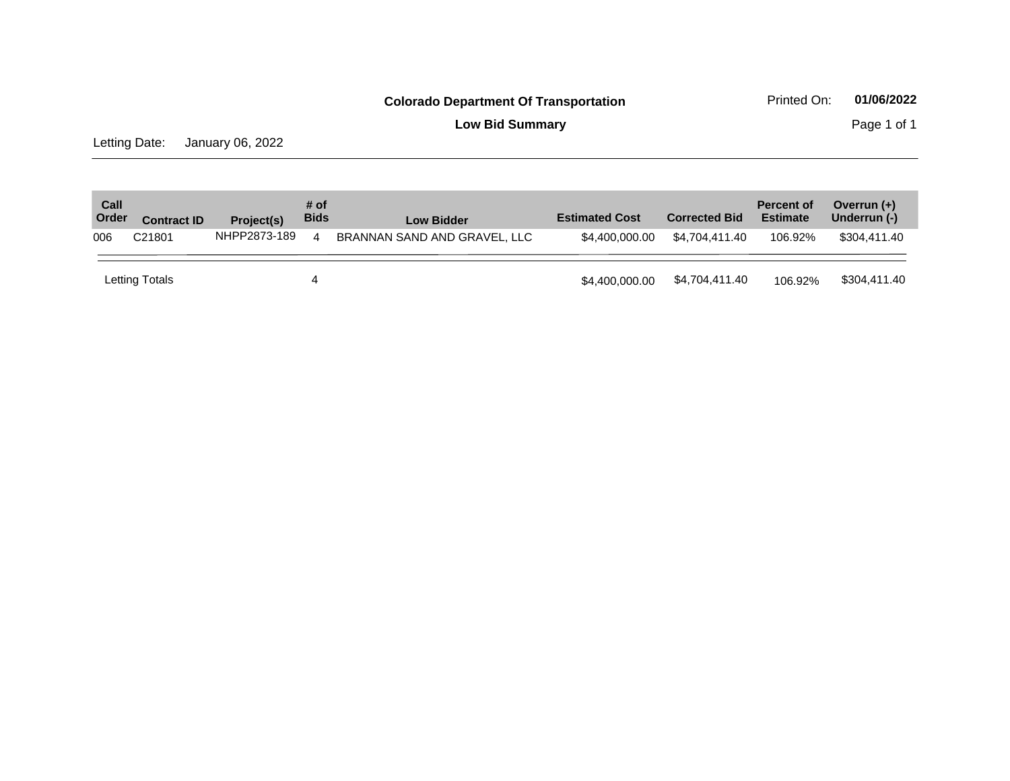**Low Bid Summary Page 1 of 1** 

Letting Date: January 06, 2022

| Call<br>Order | <b>Contract ID</b> | Project(s)   | # of<br><b>Bids</b>    | <b>Low Bidder</b>            | <b>Estimated Cost</b> | <b>Corrected Bid</b> | <b>Percent of</b><br><b>Estimate</b> | Overrun $(+)$<br>Underrun (-) |
|---------------|--------------------|--------------|------------------------|------------------------------|-----------------------|----------------------|--------------------------------------|-------------------------------|
| 006           | C21801             | NHPP2873-189 | $\boldsymbol{\Lambda}$ | BRANNAN SAND AND GRAVEL, LLC | \$4,400,000,00        | \$4.704.411.40       | 106.92%                              | \$304.411.40                  |
|               | Letting Totals     |              | 4                      |                              | \$4,400,000.00        | \$4,704,411.40       | 106.92%                              | \$304,411.40                  |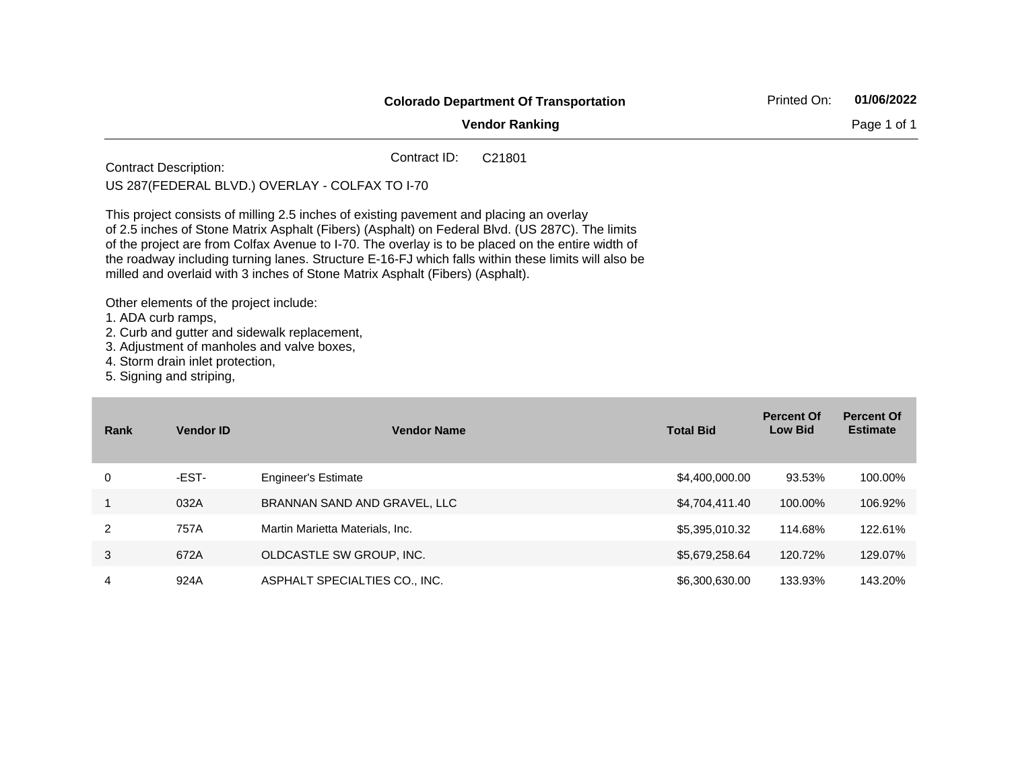|             | <b>Colorado Department Of Transportation</b>                                                                                 |                                                                                                                                                                                                                                                                                                                                                                                                                                                                                                                                                                                       |                  |                                     | 01/06/2022                           |
|-------------|------------------------------------------------------------------------------------------------------------------------------|---------------------------------------------------------------------------------------------------------------------------------------------------------------------------------------------------------------------------------------------------------------------------------------------------------------------------------------------------------------------------------------------------------------------------------------------------------------------------------------------------------------------------------------------------------------------------------------|------------------|-------------------------------------|--------------------------------------|
|             |                                                                                                                              | <b>Vendor Ranking</b>                                                                                                                                                                                                                                                                                                                                                                                                                                                                                                                                                                 |                  |                                     | Page 1 of 1                          |
|             | <b>Contract Description:</b>                                                                                                 | Contract ID:<br>C21801<br>US 287 (FEDERAL BLVD.) OVERLAY - COLFAX TO I-70                                                                                                                                                                                                                                                                                                                                                                                                                                                                                                             |                  |                                     |                                      |
|             | Other elements of the project include:<br>1. ADA curb ramps,<br>4. Storm drain inlet protection,<br>5. Signing and striping, | This project consists of milling 2.5 inches of existing pavement and placing an overlay<br>of 2.5 inches of Stone Matrix Asphalt (Fibers) (Asphalt) on Federal Blvd. (US 287C). The limits<br>of the project are from Colfax Avenue to I-70. The overlay is to be placed on the entire width of<br>the roadway including turning lanes. Structure E-16-FJ which falls within these limits will also be<br>milled and overlaid with 3 inches of Stone Matrix Asphalt (Fibers) (Asphalt).<br>2. Curb and gutter and sidewalk replacement,<br>3. Adjustment of manholes and valve boxes, |                  |                                     |                                      |
| <b>Rank</b> | <b>Vendor ID</b>                                                                                                             | <b>Vendor Name</b>                                                                                                                                                                                                                                                                                                                                                                                                                                                                                                                                                                    | <b>Total Bid</b> | <b>Percent Of</b><br><b>Low Bid</b> | <b>Percent Of</b><br><b>Estimate</b> |
| 0           | -EST-                                                                                                                        | <b>Engineer's Estimate</b>                                                                                                                                                                                                                                                                                                                                                                                                                                                                                                                                                            | \$4,400,000.00   | 93.53%                              | 100.00%                              |
| 1           | 032A                                                                                                                         | BRANNAN SAND AND GRAVEL, LLC                                                                                                                                                                                                                                                                                                                                                                                                                                                                                                                                                          | \$4,704,411.40   | 100.00%                             | 106.92%                              |
| 2           | 757A                                                                                                                         | Martin Marietta Materials, Inc.                                                                                                                                                                                                                                                                                                                                                                                                                                                                                                                                                       | \$5,395,010.32   | 114.68%                             | 122.61%                              |
| 3           | 672A                                                                                                                         | OLDCASTLE SW GROUP, INC.                                                                                                                                                                                                                                                                                                                                                                                                                                                                                                                                                              | \$5,679,258.64   | 120.72%                             | 129.07%                              |
| 4           | 924A                                                                                                                         | ASPHALT SPECIALTIES CO., INC.                                                                                                                                                                                                                                                                                                                                                                                                                                                                                                                                                         | \$6,300,630.00   | 133.93%                             | 143.20%                              |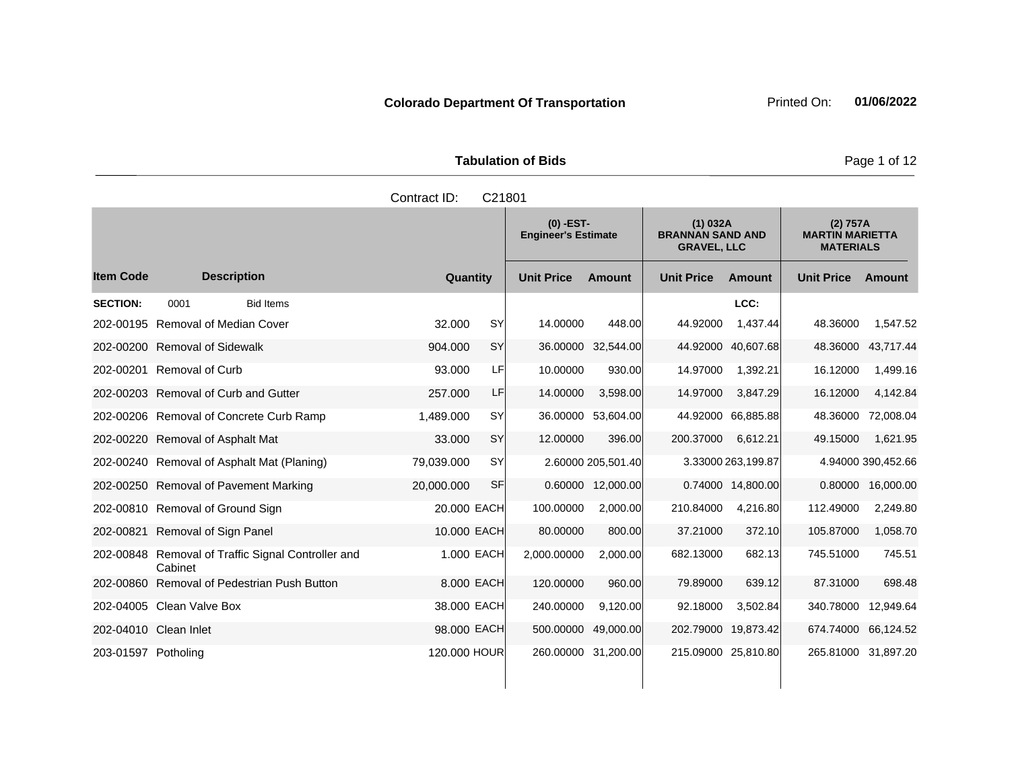|                       | <b>Tabulation of Bids</b> |
|-----------------------|---------------------------|
| Contract $ID: C21801$ |                           |

|                     |                                                               | oviniaul ID. | <b>UZ 100 1</b> |                                           |                     |                                                           |                     |                                                        |                     |
|---------------------|---------------------------------------------------------------|--------------|-----------------|-------------------------------------------|---------------------|-----------------------------------------------------------|---------------------|--------------------------------------------------------|---------------------|
|                     |                                                               |              |                 | $(0)$ -EST-<br><b>Engineer's Estimate</b> |                     | (1) 032A<br><b>BRANNAN SAND AND</b><br><b>GRAVEL, LLC</b> |                     | (2) 757A<br><b>MARTIN MARIETTA</b><br><b>MATERIALS</b> |                     |
| <b>Item Code</b>    | <b>Description</b>                                            | Quantity     |                 | <b>Unit Price</b>                         | <b>Amount</b>       | <b>Unit Price</b>                                         | <b>Amount</b>       | <b>Unit Price</b>                                      | Amount              |
| <b>SECTION:</b>     | 0001<br><b>Bid Items</b>                                      |              |                 |                                           |                     |                                                           | LCC:                |                                                        |                     |
|                     | 202-00195 Removal of Median Cover                             | 32.000       | <b>SY</b>       | 14.00000                                  | 448.00              | 44.92000                                                  | 1,437.44            | 48.36000                                               | 1,547.52            |
|                     | 202-00200 Removal of Sidewalk                                 | 904.000      | <b>SY</b>       | 36.00000                                  | 32,544.00           |                                                           | 44.92000 40,607.68  | 48.36000                                               | 43,717.44           |
|                     | 202-00201 Removal of Curb                                     | 93.000       | LF              | 10.00000                                  | 930.00              | 14.97000                                                  | 1,392.21            | 16.12000                                               | 1,499.16            |
|                     | 202-00203 Removal of Curb and Gutter                          | 257.000      | LF              | 14.00000                                  | 3,598.00            | 14.97000                                                  | 3,847.29            | 16.12000                                               | 4,142.84            |
|                     | 202-00206 Removal of Concrete Curb Ramp                       | 1,489.000    | <b>SY</b>       |                                           | 36.00000 53,604.00  |                                                           | 44.92000 66,885.88  | 48.36000                                               | 72,008.04           |
|                     | 202-00220 Removal of Asphalt Mat                              | 33.000       | SY              | 12.00000                                  | 396.00              | 200.37000                                                 | 6,612.21            | 49.15000                                               | 1,621.95            |
|                     | 202-00240 Removal of Asphalt Mat (Planing)                    | 79,039.000   | <b>SY</b>       |                                           | 2.60000 205,501.40  |                                                           | 3.33000 263,199.87  |                                                        | 4.94000 390,452.66  |
|                     | 202-00250 Removal of Pavement Marking                         | 20,000.000   | SF              |                                           | 0.60000 12,000.00   |                                                           | 0.74000 14,800.00   |                                                        | 0.80000 16,000.00   |
|                     | 202-00810 Removal of Ground Sign                              | 20.000 EACH  |                 | 100.00000                                 | 2,000.00            | 210.84000                                                 | 4,216.80            | 112.49000                                              | 2,249.80            |
|                     | 202-00821 Removal of Sign Panel                               | 10.000 EACH  |                 | 80.00000                                  | 800.00              | 37.21000                                                  | 372.10              | 105.87000                                              | 1,058.70            |
|                     | 202-00848 Removal of Traffic Signal Controller and<br>Cabinet | 1.000 EACH   |                 | 2,000.00000                               | 2,000.00            | 682.13000                                                 | 682.13              | 745.51000                                              | 745.51              |
| 202-00860           | Removal of Pedestrian Push Button                             | 8.000 EACH   |                 | 120.00000                                 | 960.00              | 79.89000                                                  | 639.12              | 87.31000                                               | 698.48              |
|                     | 202-04005 Clean Valve Box                                     | 38.000 EACH  |                 | 240.00000                                 | 9,120.00            | 92.18000                                                  | 3,502.84            | 340.78000                                              | 12,949.64           |
|                     | 202-04010 Clean Inlet                                         | 98,000 EACH  |                 | 500.00000                                 | 49,000.00           | 202.79000                                                 | 19,873.42           | 674.74000                                              | 66,124.52           |
| 203-01597 Potholing |                                                               | 120.000 HOUR |                 |                                           | 260.00000 31,200.00 |                                                           | 215.09000 25,810.80 |                                                        | 265.81000 31,897.20 |

**Page 1 of 12**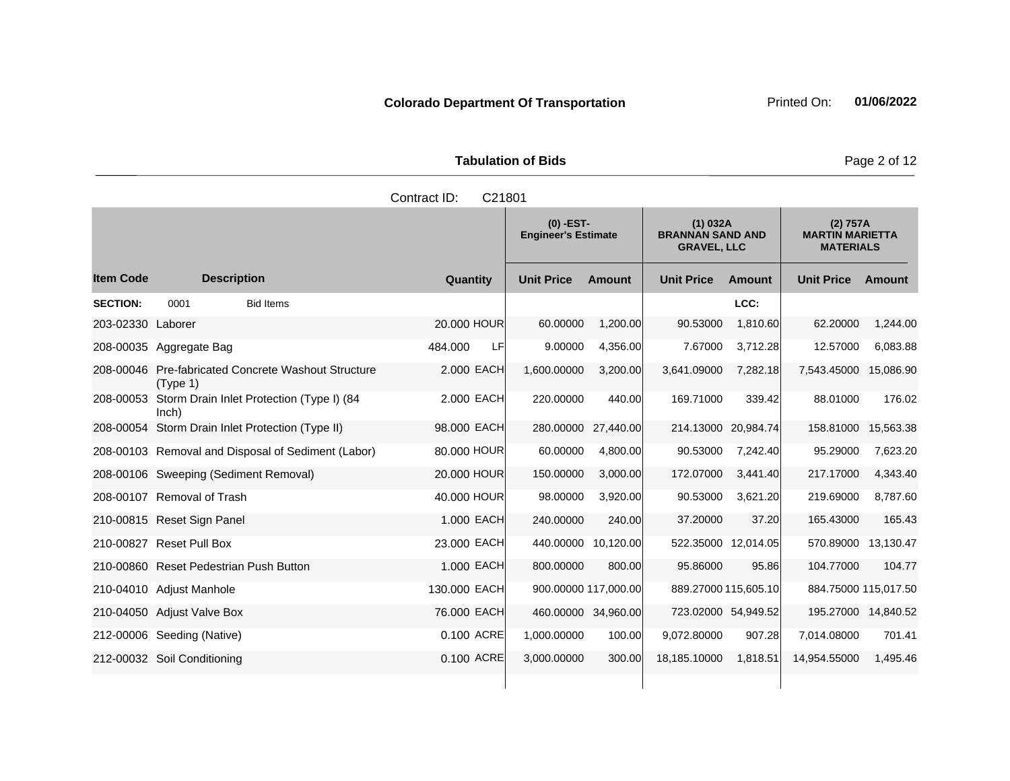**Tabulation of Bids Page 2 of 12** 

|                   |                                                                 | Contract ID:<br>C21801 |                                           |                      |                                                           |                      |                                                        |               |
|-------------------|-----------------------------------------------------------------|------------------------|-------------------------------------------|----------------------|-----------------------------------------------------------|----------------------|--------------------------------------------------------|---------------|
|                   |                                                                 |                        | $(0)$ -EST-<br><b>Engineer's Estimate</b> |                      | (1) 032A<br><b>BRANNAN SAND AND</b><br><b>GRAVEL, LLC</b> |                      | (2) 757A<br><b>MARTIN MARIETTA</b><br><b>MATERIALS</b> |               |
| <b>Item Code</b>  | <b>Description</b>                                              | Quantity               | <b>Unit Price</b>                         | <b>Amount</b>        | <b>Unit Price</b>                                         | <b>Amount</b>        | <b>Unit Price</b>                                      | <b>Amount</b> |
| <b>SECTION:</b>   | 0001<br><b>Bid Items</b>                                        |                        |                                           |                      |                                                           | LCC:                 |                                                        |               |
| 203-02330 Laborer |                                                                 | 20,000 HOUR            | 60.00000                                  | 1,200.00             | 90.53000                                                  | 1,810.60             | 62.20000                                               | 1,244.00      |
|                   | 208-00035 Aggregate Bag                                         | 484.000<br>LF          | 9.00000                                   | 4,356.00             | 7.67000                                                   | 3,712.28             | 12.57000                                               | 6,083.88      |
|                   | 208-00046 Pre-fabricated Concrete Washout Structure<br>(Type 1) | 2.000 EACH             | 1,600.00000                               | 3,200.00             | 3,641.09000                                               | 7,282.18             | 7,543.45000                                            | 15,086.90     |
| 208-00053         | Storm Drain Inlet Protection (Type I) (84<br>Inch)              | 2,000 EACH             | 220.00000                                 | 440.00               | 169.71000                                                 | 339.42               | 88.01000                                               | 176.02        |
|                   | 208-00054 Storm Drain Inlet Protection (Type II)                | 98.000 EACH            | 280.00000                                 | 27,440.00            |                                                           | 214.13000 20,984.74  | 158.81000                                              | 15,563.38     |
|                   | 208-00103 Removal and Disposal of Sediment (Labor)              | 80.000 HOUR            | 60.00000                                  | 4,800.00             | 90.53000                                                  | 7,242.40             | 95.29000                                               | 7,623.20      |
|                   | 208-00106 Sweeping (Sediment Removal)                           | 20.000 HOUR            | 150.00000                                 | 3,000.00             | 172.07000                                                 | 3,441.40             | 217.17000                                              | 4,343.40      |
|                   | 208-00107 Removal of Trash                                      | 40.000 HOUR            | 98.00000                                  | 3,920.00             | 90.53000                                                  | 3,621.20             | 219.69000                                              | 8,787.60      |
|                   | 210-00815 Reset Sign Panel                                      | 1.000 EACH             | 240.00000                                 | 240.00               | 37.20000                                                  | 37.20                | 165.43000                                              | 165.43        |
|                   | 210-00827 Reset Pull Box                                        | 23,000 EACH            | 440.00000                                 | 10,120.00            |                                                           | 522.35000 12,014.05  | 570.89000                                              | 13,130.47     |
|                   | 210-00860 Reset Pedestrian Push Button                          | 1.000 EACH             | 800.00000                                 | 800.00               | 95.86000                                                  | 95.86                | 104.77000                                              | 104.77        |
|                   | 210-04010 Adjust Manhole                                        | 130.000 EACH           |                                           | 900.00000 117,000.00 |                                                           | 889.27000 115,605.10 | 884.75000 115,017.50                                   |               |
|                   | 210-04050 Adjust Valve Box                                      | 76,000 EACH            | 460.00000 34,960.00                       |                      | 723.02000 54,949.52                                       |                      | 195.27000 14,840.52                                    |               |
|                   | 212-00006 Seeding (Native)                                      | 0.100 ACRE             | 1,000.00000                               | 100.00               | 9,072.80000                                               | 907.28               | 7,014.08000                                            | 701.41        |
|                   | 212-00032 Soil Conditioning                                     | 0.100 ACRE             | 3,000.00000                               | 300.00               | 18,185.10000                                              | 1,818.51             | 14,954.55000                                           | 1,495.46      |
|                   |                                                                 |                        |                                           |                      |                                                           |                      |                                                        |               |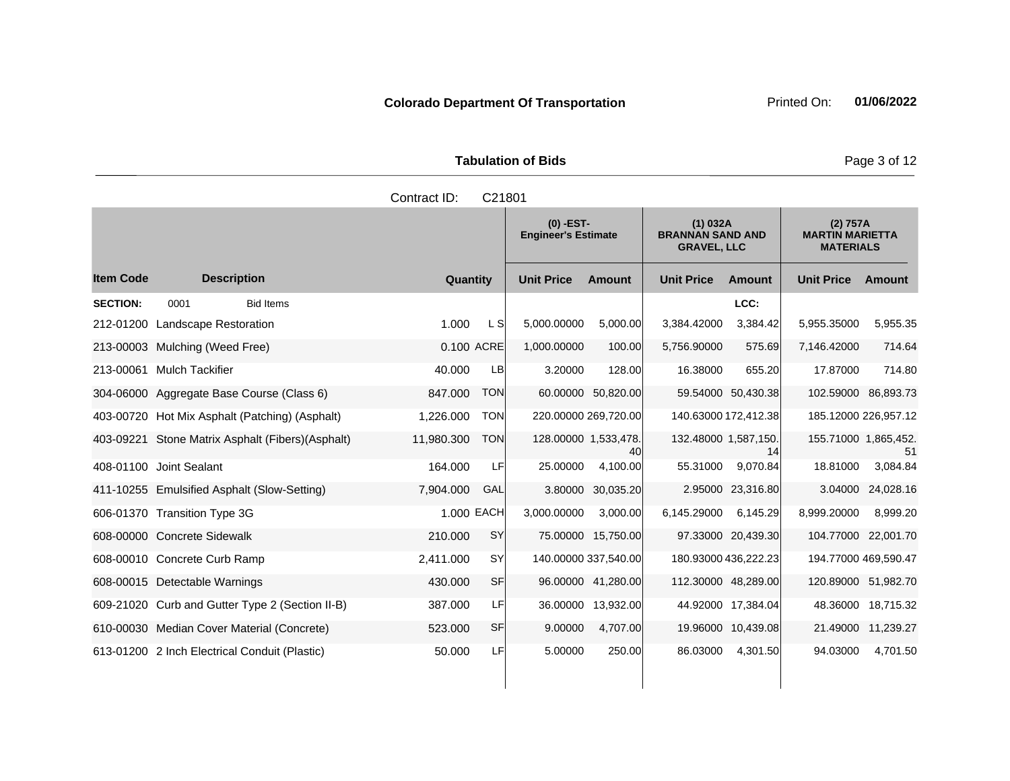|                     | <b>Tabulation of Bids</b> |
|---------------------|---------------------------|
| Contract ID: C21801 |                           |

|                  |                                                   |            |            | $(0)$ -EST-<br><b>Engineer's Estimate</b> |                    | (1) 032A<br><b>BRANNAN SAND AND</b><br><b>GRAVEL, LLC</b> |                    | (2) 757A<br><b>MARTIN MARIETTA</b><br><b>MATERIALS</b> |                     |
|------------------|---------------------------------------------------|------------|------------|-------------------------------------------|--------------------|-----------------------------------------------------------|--------------------|--------------------------------------------------------|---------------------|
| <b>Item Code</b> | <b>Description</b>                                | Quantity   |            | <b>Unit Price</b>                         | <b>Amount</b>      | <b>Unit Price</b>                                         | Amount             | <b>Unit Price</b>                                      | Amount              |
| <b>SECTION:</b>  | 0001<br><b>Bid Items</b>                          |            |            |                                           |                    |                                                           | LCC:               |                                                        |                     |
| 212-01200        | <b>Landscape Restoration</b>                      | 1.000      | L SI       | 5,000.00000                               | 5,000.00           | 3,384.42000                                               | 3,384.42           | 5,955.35000                                            | 5,955.35            |
| 213-00003        | Mulching (Weed Free)                              | 0.100 ACRE |            | 1,000.00000                               | 100.00             | 5,756.90000                                               | 575.69             | 7,146.42000                                            | 714.64              |
|                  | 213-00061 Mulch Tackifier                         | 40.000     | LB         | 3.20000                                   | 128.00             | 16.38000                                                  | 655.20             | 17.87000                                               | 714.80              |
|                  | 304-06000 Aggregate Base Course (Class 6)         | 847.000    | <b>TON</b> |                                           | 60.00000 50,820.00 |                                                           | 59.54000 50,430.38 | 102.59000 86,893.73                                    |                     |
| 403-00720        | Hot Mix Asphalt (Patching) (Asphalt)              | 1.226.000  | <b>TON</b> | 220.00000 269,720.00                      |                    | 140.63000 172,412.38                                      |                    | 185.12000 226,957.12                                   |                     |
|                  | 403-09221 Stone Matrix Asphalt (Fibers) (Asphalt) | 11,980.300 | <b>TON</b> | 128.00000 1,533,478.                      | 40                 | 132.48000 1,587,150.                                      | 14                 | 155.71000 1,865,452.                                   | 51                  |
|                  | 408-01100 Joint Sealant                           | 164.000    | LF         | 25.00000                                  | 4,100.00           | 55.31000                                                  | 9,070.84           | 18.81000                                               | 3,084.84            |
|                  | 411-10255 Emulsified Asphalt (Slow-Setting)       | 7,904.000  | GAL        | 3.80000                                   | 30,035.20          |                                                           | 2.95000 23,316.80  | 3.04000                                                | 24,028.16           |
|                  | 606-01370 Transition Type 3G                      | 1.000 EACH |            | 3,000.00000                               | 3,000.00           | 6,145.29000                                               | 6.145.29           | 8,999.20000                                            | 8,999.20            |
|                  | 608-00000 Concrete Sidewalk                       | 210,000    | <b>SY</b>  |                                           | 75.00000 15,750.00 |                                                           | 97.33000 20,439.30 |                                                        | 104.77000 22,001.70 |
|                  | 608-00010 Concrete Curb Ramp                      | 2,411.000  | <b>SY</b>  | 140.00000 337,540.00                      |                    | 180.93000 436,222.23                                      |                    | 194.77000 469,590.47                                   |                     |
|                  | 608-00015 Detectable Warnings                     | 430,000    | SF         |                                           | 96.00000 41,280.00 | 112.30000 48,289.00                                       |                    | 120.89000 51,982.70                                    |                     |
|                  | 609-21020 Curb and Gutter Type 2 (Section II-B)   | 387.000    | LF         | 36.00000                                  | 13,932.00          |                                                           | 44.92000 17,384.04 |                                                        | 48.36000 18,715.32  |
|                  | 610-00030 Median Cover Material (Concrete)        | 523,000    | SF         | 9.00000                                   | 4,707.00           |                                                           | 19.96000 10,439.08 |                                                        | 21.49000 11,239.27  |
|                  | 613-01200 2 Inch Electrical Conduit (Plastic)     | 50.000     | LF         | 5.00000                                   | 250.00             | 86.03000                                                  | 4,301.50           | 94.03000                                               | 4,701.50            |

**Page 3 of 12**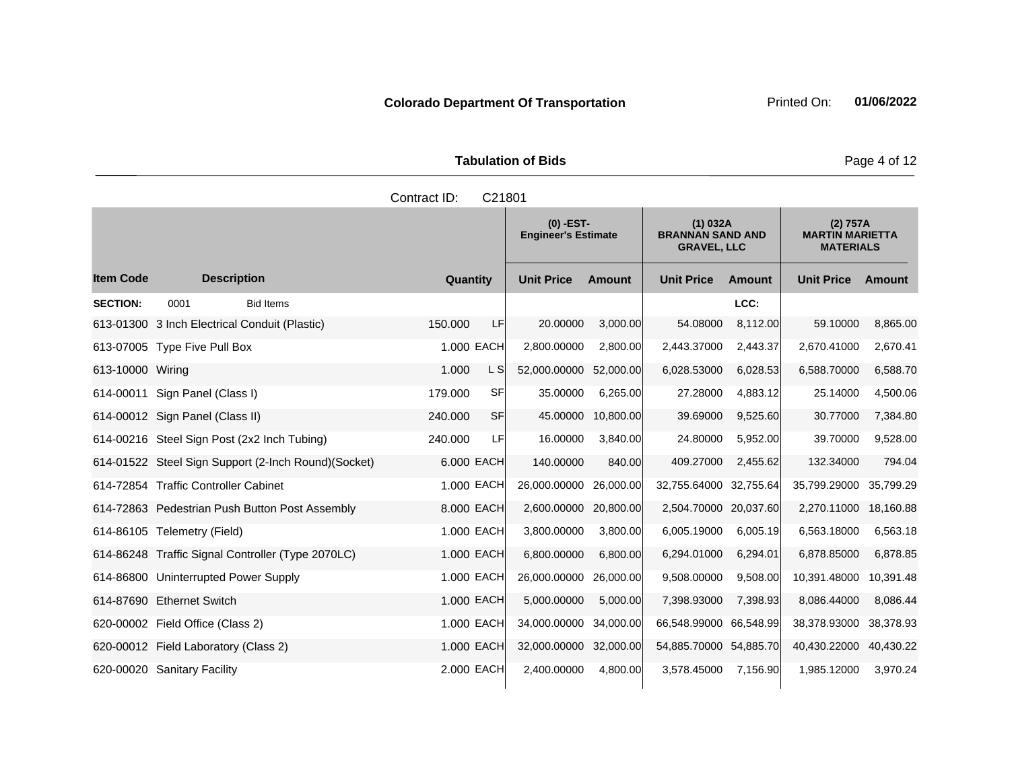|                    | Page 4 of 12           |                                           |                                                           |                                                        |
|--------------------|------------------------|-------------------------------------------|-----------------------------------------------------------|--------------------------------------------------------|
|                    | Contract ID:<br>C21801 |                                           |                                                           |                                                        |
|                    |                        | $(0)$ -EST-<br><b>Engineer's Estimate</b> | (1) 032A<br><b>BRANNAN SAND AND</b><br><b>GRAVEL, LLC</b> | (2) 757A<br><b>MARTIN MARIETTA</b><br><b>MATERIALS</b> |
| <b>Description</b> | Quantity               | <b>Unit Price</b><br><b>Amount</b>        | <b>Unit Price</b><br><b>Amount</b>                        | <b>Unit Price</b><br>Amount                            |

|                  |                                               |                                                     |          |            | <b>Engineer's Estimate</b> |               | <b>BRANNAN SAND AND</b><br><b>GRAVEL, LLC</b> |               | <b>MARTIN MARIETTA</b><br><b>MATERIALS</b> |               |
|------------------|-----------------------------------------------|-----------------------------------------------------|----------|------------|----------------------------|---------------|-----------------------------------------------|---------------|--------------------------------------------|---------------|
| ltem Code        | <b>Description</b>                            |                                                     | Quantity |            | <b>Unit Price</b>          | <b>Amount</b> | <b>Unit Price</b>                             | <b>Amount</b> | <b>Unit Price</b>                          | <b>Amount</b> |
| <b>SECTION:</b>  | 0001                                          | <b>Bid Items</b>                                    |          |            |                            |               |                                               | LCC:          |                                            |               |
|                  | 613-01300 3 Inch Electrical Conduit (Plastic) |                                                     | 150.000  | <b>LF</b>  | 20.00000                   | 3,000.00      | 54.08000                                      | 8,112.00      | 59.10000                                   | 8,865.00      |
|                  | 613-07005 Type Five Pull Box                  |                                                     |          | 1.000 EACH | 2,800.00000                | 2,800.00      | 2,443.37000                                   | 2,443.37      | 2,670.41000                                | 2,670.41      |
| 613-10000 Wiring |                                               |                                                     | 1.000    | L S        | 52,000.00000               | 52,000.00     | 6,028.53000                                   | 6.028.53      | 6,588.70000                                | 6,588.70      |
|                  | 614-00011 Sign Panel (Class I)                |                                                     | 179.000  | <b>SF</b>  | 35.00000                   | 6,265.00      | 27.28000                                      | 4,883.12      | 25.14000                                   | 4,500.06      |
|                  | 614-00012 Sign Panel (Class II)               |                                                     | 240.000  | <b>SF</b>  | 45.00000                   | 10,800.00     | 39.69000                                      | 9,525.60      | 30.77000                                   | 7,384.80      |
|                  |                                               | 614-00216 Steel Sign Post (2x2 Inch Tubing)         | 240.000  | LF         | 16.00000                   | 3,840.00      | 24.80000                                      | 5,952.00      | 39.70000                                   | 9,528.00      |
|                  |                                               | 614-01522 Steel Sign Support (2-Inch Round)(Socket) |          | 6,000 EACH | 140.00000                  | 840.00        | 409.27000                                     | 2,455.62      | 132.34000                                  | 794.04        |
|                  | 614-72854 Traffic Controller Cabinet          |                                                     |          | 1.000 EACH | 26,000.00000               | 26,000.00     | 32,755.64000                                  | 32,755.64     | 35,799.29000                               | 35,799.29     |
|                  |                                               | 614-72863 Pedestrian Push Button Post Assembly      |          | 8.000 EACH | 2,600.00000                | 20,800.00     | 2,504.70000 20,037.60                         |               | 2,270.11000                                | 18,160.88     |
|                  | 614-86105 Telemetry (Field)                   |                                                     |          | 1.000 EACH | 3,800.00000                | 3,800.00      | 6,005.19000                                   | 6,005.19      | 6,563.18000                                | 6,563.18      |
|                  |                                               | 614-86248 Traffic Signal Controller (Type 2070LC)   |          | 1.000 EACH | 6,800.00000                | 6,800.00      | 6,294.01000                                   | 6,294.01      | 6,878.85000                                | 6,878.85      |
|                  | 614-86800 Uninterrupted Power Supply          |                                                     |          | 1.000 EACH | 26,000.00000               | 26,000.00     | 9,508.00000                                   | 9,508.00      | 10,391.48000                               | 10,391.48     |
|                  | 614-87690 Ethernet Switch                     |                                                     |          | 1.000 EACH | 5,000.00000                | 5,000.00      | 7,398.93000                                   | 7,398.93      | 8,086.44000                                | 8,086.44      |
|                  | 620-00002 Field Office (Class 2)              |                                                     |          | 1.000 EACH | 34,000.00000               | 34,000.00     | 66,548.99000                                  | 66,548.99     | 38,378.93000                               | 38,378.93     |
|                  | 620-00012 Field Laboratory (Class 2)          |                                                     |          | 1.000 EACH | 32,000.00000               | 32,000.00     | 54,885.70000 54,885.70                        |               | 40,430.22000                               | 40,430.22     |
|                  | 620-00020 Sanitary Facility                   |                                                     |          | 2.000 EACH | 2,400.00000                | 4,800.00      | 3,578.45000                                   | 7,156.90      | 1,985.12000                                | 3,970.24      |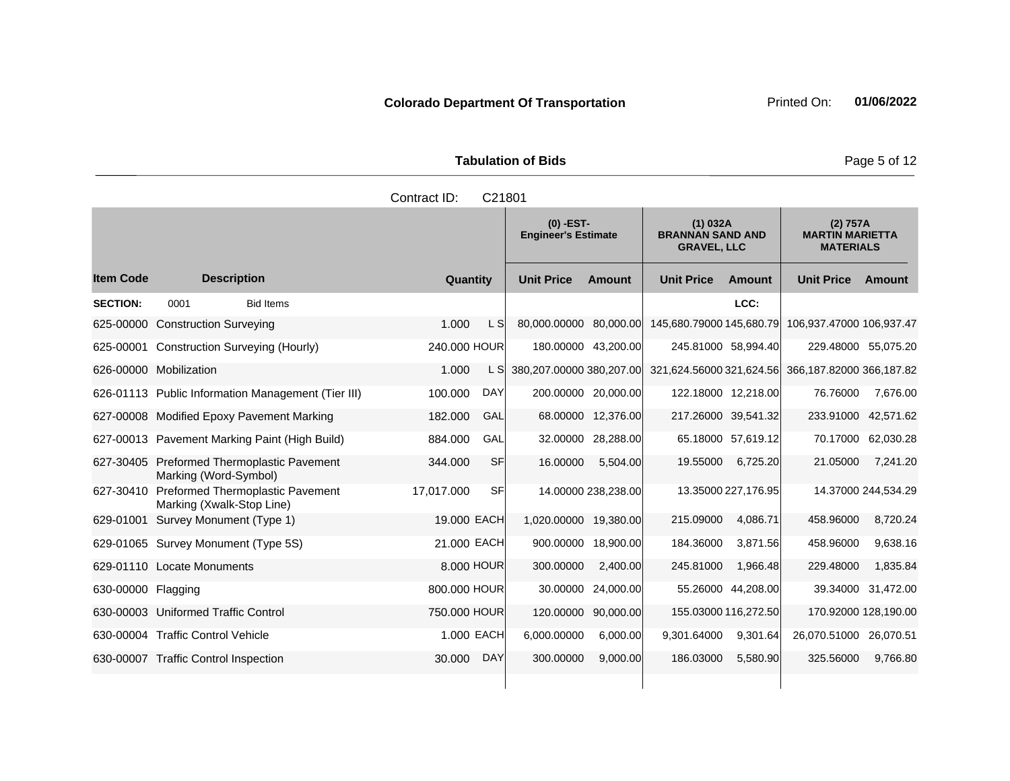**Tabulation of Bids Page 5 of 12** 

|                    |                                                                     | Contract ID:          | C21801                                    |                     |                                                           |                      |                                                        |                      |
|--------------------|---------------------------------------------------------------------|-----------------------|-------------------------------------------|---------------------|-----------------------------------------------------------|----------------------|--------------------------------------------------------|----------------------|
|                    |                                                                     |                       | $(0)$ -EST-<br><b>Engineer's Estimate</b> |                     | (1) 032A<br><b>BRANNAN SAND AND</b><br><b>GRAVEL, LLC</b> |                      | (2) 757A<br><b>MARTIN MARIETTA</b><br><b>MATERIALS</b> |                      |
| <b>Item Code</b>   | <b>Description</b>                                                  | Quantity              | <b>Unit Price</b>                         | <b>Amount</b>       | <b>Unit Price</b>                                         | <b>Amount</b>        | <b>Unit Price</b>                                      | Amount               |
| <b>SECTION:</b>    | 0001<br><b>Bid Items</b>                                            |                       |                                           |                     |                                                           | LCC:                 |                                                        |                      |
| 625-00000          | <b>Construction Surveying</b>                                       | 1.000<br>L SI         | 80,000.00000 80,000.00                    |                     | 145,680.79000 145,680.79                                  |                      | 106,937.47000 106,937.47                               |                      |
| 625-00001          | <b>Construction Surveying (Hourly)</b>                              | 240.000 HOUR          |                                           | 180.00000 43,200.00 | 245.81000 58,994.40                                       |                      |                                                        | 229.48000 55,075.20  |
|                    | 626-00000 Mobilization                                              | 1.000<br>L SI         | 380,207.00000 380,207.00                  |                     | 321,624.56000 321,624.56                                  |                      | 366,187.82000 366,187.82                               |                      |
|                    | 626-01113 Public Information Management (Tier III)                  | <b>DAY</b><br>100.000 |                                           | 200.00000 20,000.00 |                                                           | 122.18000 12,218.00  | 76.76000                                               | 7,676.00             |
|                    | 627-00008 Modified Epoxy Pavement Marking                           | 182.000<br>GAL        |                                           | 68.00000 12,376.00  |                                                           | 217.26000 39,541.32  |                                                        | 233.91000 42,571.62  |
|                    | 627-00013 Pavement Marking Paint (High Build)                       | 884.000<br>GAL        | 32.00000                                  | 28,288.00           |                                                           | 65.18000 57,619.12   | 70.17000                                               | 62,030.28            |
|                    | 627-30405 Preformed Thermoplastic Pavement<br>Marking (Word-Symbol) | <b>SF</b><br>344.000  | 16.00000                                  | 5,504.00            | 19.55000                                                  | 6,725.20             | 21.05000                                               | 7,241.20             |
| 627-30410          | Preformed Thermoplastic Pavement<br>Marking (Xwalk-Stop Line)       | SF<br>17,017.000      |                                           | 14.00000 238,238.00 |                                                           | 13.35000 227,176.95  |                                                        | 14.37000 244,534.29  |
| 629-01001          | Survey Monument (Type 1)                                            | 19.000 EACH           | 1,020.00000                               | 19,380.00           | 215.09000                                                 | 4,086.71             | 458.96000                                              | 8,720.24             |
|                    | 629-01065 Survey Monument (Type 5S)                                 | 21.000 EACH           | 900.00000                                 | 18,900.00           | 184.36000                                                 | 3,871.56             | 458.96000                                              | 9,638.16             |
|                    | 629-01110 Locate Monuments                                          | 8,000 HOUR            | 300.00000                                 | 2,400.00            | 245.81000                                                 | 1,966.48             | 229.48000                                              | 1,835.84             |
| 630-00000 Flagging |                                                                     | 800,000 HOUR          |                                           | 30.00000 24,000.00  |                                                           | 55.26000 44,208.00   | 39.34000                                               | 31,472.00            |
|                    | 630-00003 Uniformed Traffic Control                                 | 750,000 HOUR          | 120.00000                                 | 90,000.00           |                                                           | 155.03000 116,272.50 |                                                        | 170.92000 128,190.00 |
|                    | 630-00004 Traffic Control Vehicle                                   | 1.000 EACH            | 6,000.00000                               | 6,000.00            | 9,301.64000                                               | 9,301.64             | 26,070.51000                                           | 26,070.51            |
|                    | 630-00007 Traffic Control Inspection                                | <b>DAY</b><br>30.000  | 300.00000                                 | 9.000.00            | 186.03000                                                 | 5.580.90             | 325.56000                                              | 9,766.80             |

**Colorado Department Of Transportation** Printed On: 01/06/2022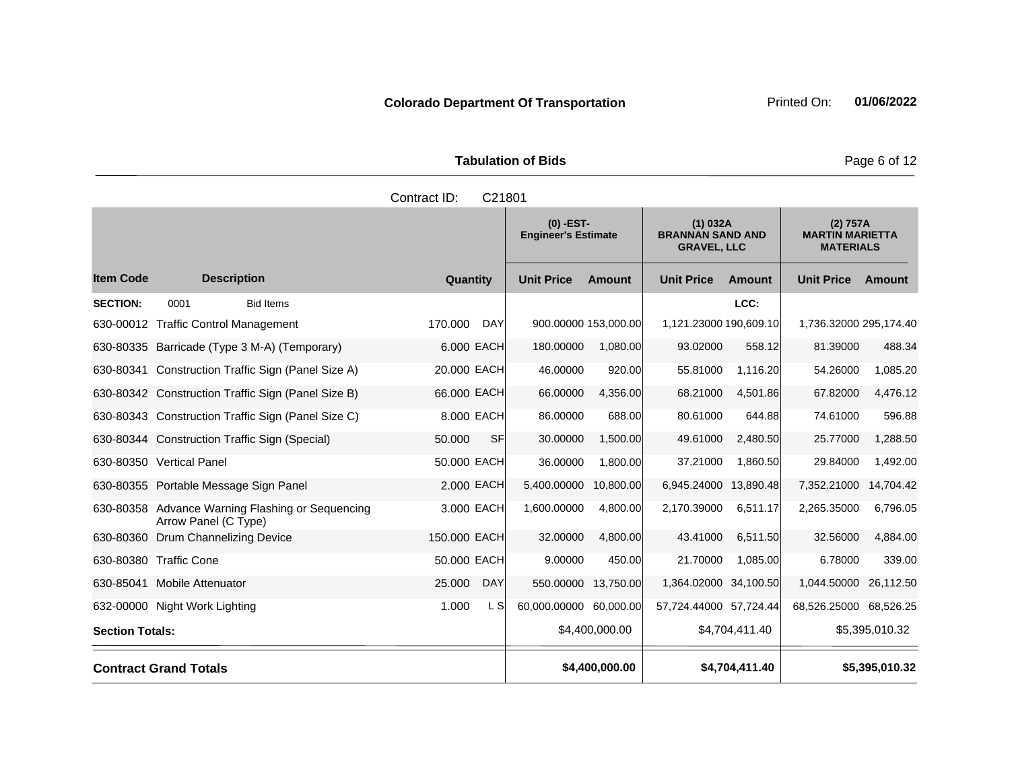Tabulation of Bids **Page 6 of 12** 

|                        |                                                                          | Contract ID:<br>C21801 |                                           |                |                                                           |                |                                                        |                |
|------------------------|--------------------------------------------------------------------------|------------------------|-------------------------------------------|----------------|-----------------------------------------------------------|----------------|--------------------------------------------------------|----------------|
|                        |                                                                          |                        | $(0)$ -EST-<br><b>Engineer's Estimate</b> |                | (1) 032A<br><b>BRANNAN SAND AND</b><br><b>GRAVEL, LLC</b> |                | (2) 757A<br><b>MARTIN MARIETTA</b><br><b>MATERIALS</b> |                |
| <b>Item Code</b>       | <b>Description</b>                                                       | Quantity               | <b>Unit Price</b>                         | Amount         | <b>Unit Price</b>                                         | <b>Amount</b>  | <b>Unit Price</b>                                      | Amount         |
| <b>SECTION:</b>        | <b>Bid Items</b><br>0001                                                 |                        |                                           |                |                                                           | LCC:           |                                                        |                |
|                        | 630-00012 Traffic Control Management                                     | 170.000<br><b>DAY</b>  | 900.00000 153,000.00                      |                | 1,121.23000 190,609.10                                    |                | 1,736.32000 295,174.40                                 |                |
|                        | 630-80335 Barricade (Type 3 M-A) (Temporary)                             | 6.000 EACH             | 180.00000                                 | 1,080.00       | 93.02000                                                  | 558.12         | 81.39000                                               | 488.34         |
|                        | 630-80341 Construction Traffic Sign (Panel Size A)                       | 20.000 EACH            | 46.00000                                  | 920.00         | 55.81000                                                  | 1,116.20       | 54.26000                                               | 1,085.20       |
|                        | 630-80342 Construction Traffic Sign (Panel Size B)                       | 66.000 EACH            | 66.00000                                  | 4,356.00       | 68.21000                                                  | 4,501.86       | 67.82000                                               | 4,476.12       |
|                        | 630-80343 Construction Traffic Sign (Panel Size C)                       | 8.000 EACH             | 86.00000                                  | 688.00         | 80.61000                                                  | 644.88         | 74.61000                                               | 596.88         |
|                        | 630-80344 Construction Traffic Sign (Special)                            | 50.000<br><b>SF</b>    | 30.00000                                  | 1,500.00       | 49.61000                                                  | 2,480.50       | 25.77000                                               | 1,288.50       |
|                        | 630-80350 Vertical Panel                                                 | 50.000 EACH            | 36.00000                                  | 1,800.00       | 37.21000                                                  | 1,860.50       | 29.84000                                               | 1,492.00       |
|                        | 630-80355 Portable Message Sign Panel                                    | 2.000 EACH             | 5,400.00000                               | 10,800.00      | 6,945.24000 13,890.48                                     |                | 7,352.21000                                            | 14,704.42      |
|                        | 630-80358 Advance Warning Flashing or Sequencing<br>Arrow Panel (C Type) | 3.000 EACH             | 1,600.00000                               | 4,800.00       | 2,170.39000                                               | 6,511.17       | 2,265.35000                                            | 6,796.05       |
|                        | 630-80360 Drum Channelizing Device                                       | 150,000 EACH           | 32.00000                                  | 4,800.00       | 43.41000                                                  | 6,511.50       | 32.56000                                               | 4,884.00       |
|                        | 630-80380 Traffic Cone                                                   | 50.000 EACH            | 9.00000                                   | 450.00         | 21.70000                                                  | 1,085.00       | 6.78000                                                | 339.00         |
|                        | 630-85041 Mobile Attenuator                                              | 25.000<br><b>DAY</b>   | 550.00000                                 | 13,750.00      | 1,364.02000 34,100.50                                     |                | 1,044.50000                                            | 26,112.50      |
|                        | 632-00000 Night Work Lighting                                            | 1.000<br>L SI          | 60,000.00000 60,000.00                    |                | 57,724.44000 57,724.44                                    |                | 68,526.25000 68,526.25                                 |                |
| <b>Section Totals:</b> |                                                                          |                        |                                           | \$4,400,000.00 |                                                           | \$4,704,411.40 |                                                        | \$5,395,010.32 |
|                        | <b>Contract Grand Totals</b>                                             |                        |                                           | \$4,400,000.00 |                                                           | \$4,704,411.40 |                                                        | \$5,395,010.32 |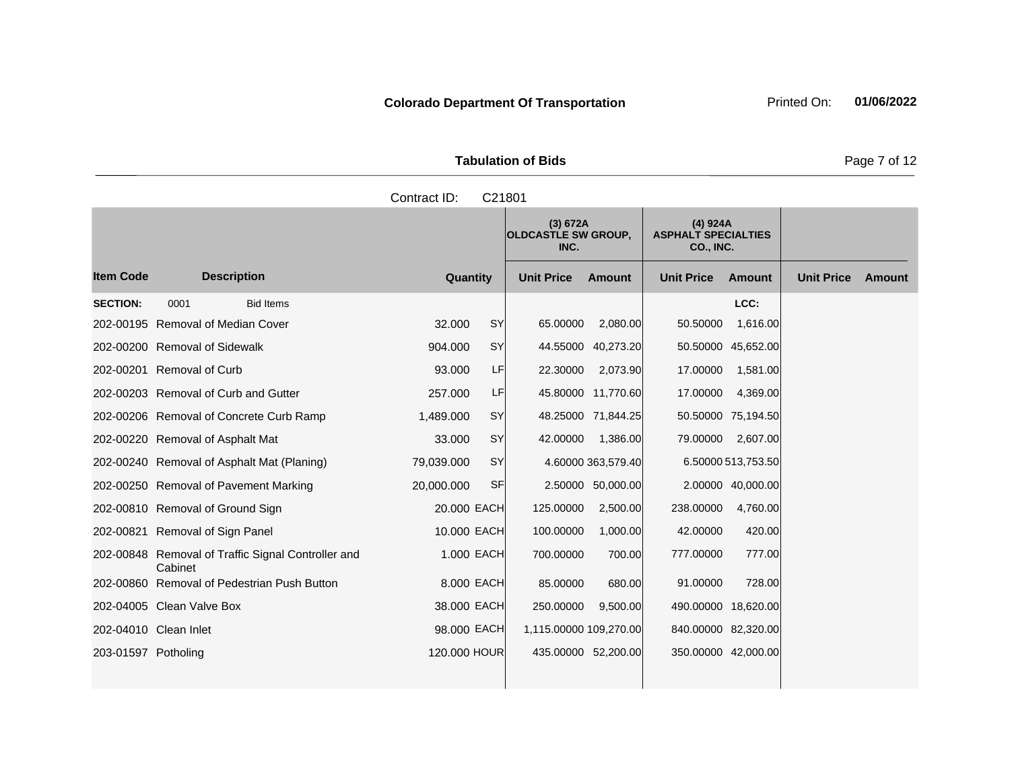| <b>Tabulation of Bids</b> |  |                                                    |                                                           |  |  |  |  |
|---------------------------|--|----------------------------------------------------|-----------------------------------------------------------|--|--|--|--|
| Contract ID: C21801       |  |                                                    |                                                           |  |  |  |  |
|                           |  | (3) 672A<br><b>OLDCASTLE SW GROUP,</b><br>$\cdots$ | (4) 924A<br><b>ASPHALT SPECIALTIES</b><br>$- - - - - - -$ |  |  |  |  |

|                     |                                                     |              |           | (3) 672A<br><b>OLDCASTLE SW GROUP,</b><br>INC. |                    | $(4)$ 924A<br><b>ASPHALT SPECIALTIES</b><br>CO., INC. |                    |                   |        |
|---------------------|-----------------------------------------------------|--------------|-----------|------------------------------------------------|--------------------|-------------------------------------------------------|--------------------|-------------------|--------|
| <b>Item Code</b>    | <b>Description</b>                                  | Quantity     |           | <b>Unit Price</b>                              | <b>Amount</b>      | <b>Unit Price</b>                                     | <b>Amount</b>      | <b>Unit Price</b> | Amount |
| <b>SECTION:</b>     | <b>Bid Items</b><br>0001                            |              |           |                                                |                    |                                                       | LCC:               |                   |        |
|                     | 202-00195 Removal of Median Cover                   | 32.000       | SY        | 65.00000                                       | 2,080.00           | 50.50000                                              | 1,616.00           |                   |        |
|                     | 202-00200 Removal of Sidewalk                       | 904.000      | <b>SY</b> | 44.55000                                       | 40,273.20          |                                                       | 50.50000 45,652.00 |                   |        |
|                     | 202-00201 Removal of Curb                           | 93,000       | LF        | 22.30000                                       | 2,073.90           | 17.00000                                              | 1,581.00           |                   |        |
|                     | 202-00203 Removal of Curb and Gutter                | 257.000      | LF        |                                                | 45.80000 11,770.60 | 17.00000                                              | 4,369.00           |                   |        |
|                     | 202-00206 Removal of Concrete Curb Ramp             | 1,489.000    | <b>SY</b> |                                                | 48.25000 71,844.25 |                                                       | 50.50000 75,194.50 |                   |        |
|                     | 202-00220 Removal of Asphalt Mat                    | 33.000       | <b>SY</b> | 42.00000                                       | 1,386.00           | 79.00000                                              | 2,607.00           |                   |        |
|                     | 202-00240 Removal of Asphalt Mat (Planing)          | 79,039.000   | <b>SY</b> |                                                | 4.60000 363,579.40 |                                                       | 6.50000 513,753.50 |                   |        |
|                     | 202-00250 Removal of Pavement Marking               | 20,000.000   | <b>SF</b> |                                                | 2.50000 50,000.00  |                                                       | 2.00000 40,000.00  |                   |        |
|                     | 202-00810 Removal of Ground Sign                    | 20.000 EACH  |           | 125.00000                                      | 2,500.00           | 238.00000                                             | 4,760.00           |                   |        |
|                     | 202-00821 Removal of Sign Panel                     | 10.000 EACH  |           | 100.00000                                      | 1,000.00           | 42.00000                                              | 420.00             |                   |        |
| 202-00848           | Removal of Traffic Signal Controller and<br>Cabinet | 1.000 EACH   |           | 700.00000                                      | 700.00             | 777.00000                                             | 777.00             |                   |        |
|                     | 202-00860 Removal of Pedestrian Push Button         | 8,000 EACH   |           | 85.00000                                       | 680.00             | 91.00000                                              | 728.00             |                   |        |
|                     | 202-04005 Clean Valve Box                           | 38.000 EACH  |           | 250.00000                                      | 9,500.00           | 490.00000 18,620.00                                   |                    |                   |        |
|                     | 202-04010 Clean Inlet                               | 98,000 EACH  |           | 1,115.00000 109,270.00                         |                    | 840.00000 82,320.00                                   |                    |                   |        |
| 203-01597 Potholing |                                                     | 120,000 HOUR |           | 435.00000 52,200.00                            |                    | 350.00000 42,000.00                                   |                    |                   |        |

**Page 7 of 12**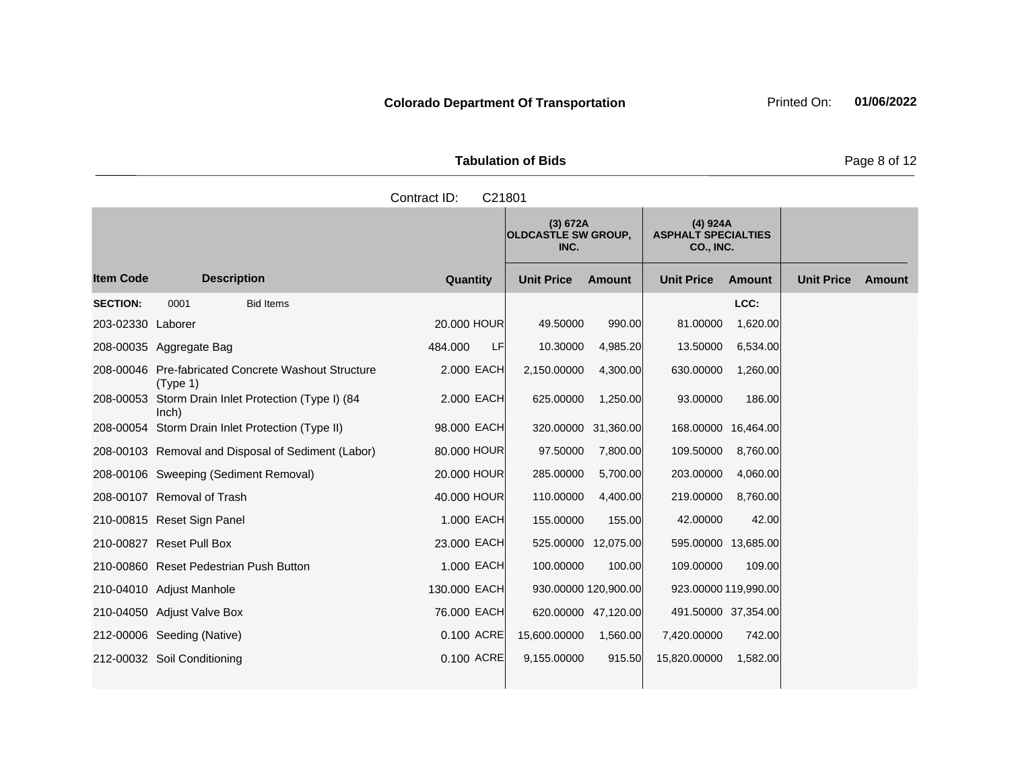Tabulation of Bids **Page 8 of 12** 

| Contract ID:<br>C21801  |      |                                                     |                |                                                |                 |                                                     |                         |                   |  |  |
|-------------------------|------|-----------------------------------------------------|----------------|------------------------------------------------|-----------------|-----------------------------------------------------|-------------------------|-------------------|--|--|
|                         |      |                                                     |                | (3) 672A<br><b>OLDCASTLE SW GROUP,</b><br>INC. |                 | (4) 924A<br><b>ASPHALT SPECIALTIES</b><br>CO., INC. |                         |                   |  |  |
| ltem Code               |      | <b>Description</b>                                  | Quantity       | <b>Unit Price</b>                              | <b>Amount</b>   | <b>Unit Price</b>                                   | Amount                  | <b>Unit Price</b> |  |  |
| <b>SECTION:</b>         | 0001 | <b>Bid Items</b>                                    |                |                                                |                 |                                                     | LCC:                    |                   |  |  |
| 203-02330 Laborer       |      |                                                     | 20,000 HOUR    | 49.50000                                       | 990.00          | 81.00000                                            | 1,620.00                |                   |  |  |
| 208-00035 Aggregate Bag |      |                                                     | LFI<br>484.000 | 10.30000                                       | 4,985.20        | 13.50000                                            | 6,534.00                |                   |  |  |
|                         |      | 208-00046 Pre-fabricated Concrete Washout Structure | 2.000 FACH     | 2.150.00000                                    | $\Delta$ 300.00 | GRO NOON                                            | 1.260.00 $\overline{a}$ |                   |  |  |

| 203-02330 Laborer |                                                                 | 20.000 HOUR   | 49.50000             | 990.00    | 81.00000     | 1,620.00             |
|-------------------|-----------------------------------------------------------------|---------------|----------------------|-----------|--------------|----------------------|
|                   | 208-00035 Aggregate Bag                                         | LF<br>484.000 | 10.30000             | 4,985.20  | 13.50000     | 6,534.00             |
|                   | 208-00046 Pre-fabricated Concrete Washout Structure<br>(Type 1) | 2,000 EACH    | 2,150.00000          | 4,300.00  | 630.00000    | 1,260.00             |
| 208-00053         | Storm Drain Inlet Protection (Type I) (84<br>lnch)              | 2.000 EACH    | 625.00000            | 1,250.00  | 93.00000     | 186.00               |
|                   | 208-00054 Storm Drain Inlet Protection (Type II)                | 98.000 EACH   | 320.00000            | 31,360.00 | 168.00000    | 16,464.00            |
|                   | 208-00103 Removal and Disposal of Sediment (Labor)              | 80.000 HOUR   | 97.50000             | 7,800.00  | 109.50000    | 8,760.00             |
|                   | 208-00106 Sweeping (Sediment Removal)                           | 20.000 HOUR   | 285.00000            | 5,700.00  | 203.00000    | 4,060.00             |
|                   | 208-00107 Removal of Trash                                      | 40,000 HOUR   | 110.00000            | 4,400.00  | 219.00000    | 8,760.00             |
|                   | 210-00815 Reset Sign Panel                                      | 1.000 EACH    | 155.00000            | 155.00    | 42.00000     | 42.00                |
|                   | 210-00827 Reset Pull Box                                        | 23.000 EACH   | 525.00000            | 12,075.00 | 595.00000    | 13,685.00            |
|                   | 210-00860 Reset Pedestrian Push Button                          | 1.000 EACH    | 100.00000            | 100.00    | 109.00000    | 109.00               |
|                   | 210-04010 Adjust Manhole                                        | 130.000 EACH  | 930.00000 120,900.00 |           |              | 923.00000 119,990.00 |
|                   | 210-04050 Adjust Valve Box                                      | 76.000 EACH   | 620.00000 47,120.00  |           |              | 491.50000 37,354.00  |
|                   | 212-00006 Seeding (Native)                                      | 0.100 ACRE    | 15,600.00000         | 1,560.00  | 7,420.00000  | 742.00               |
|                   | 212-00032 Soil Conditioning                                     | 0.100 ACRE    | 9,155.00000          | 915.50    | 15,820.00000 | 1,582.00             |
|                   |                                                                 |               |                      |           |              |                      |

**Ext Amount**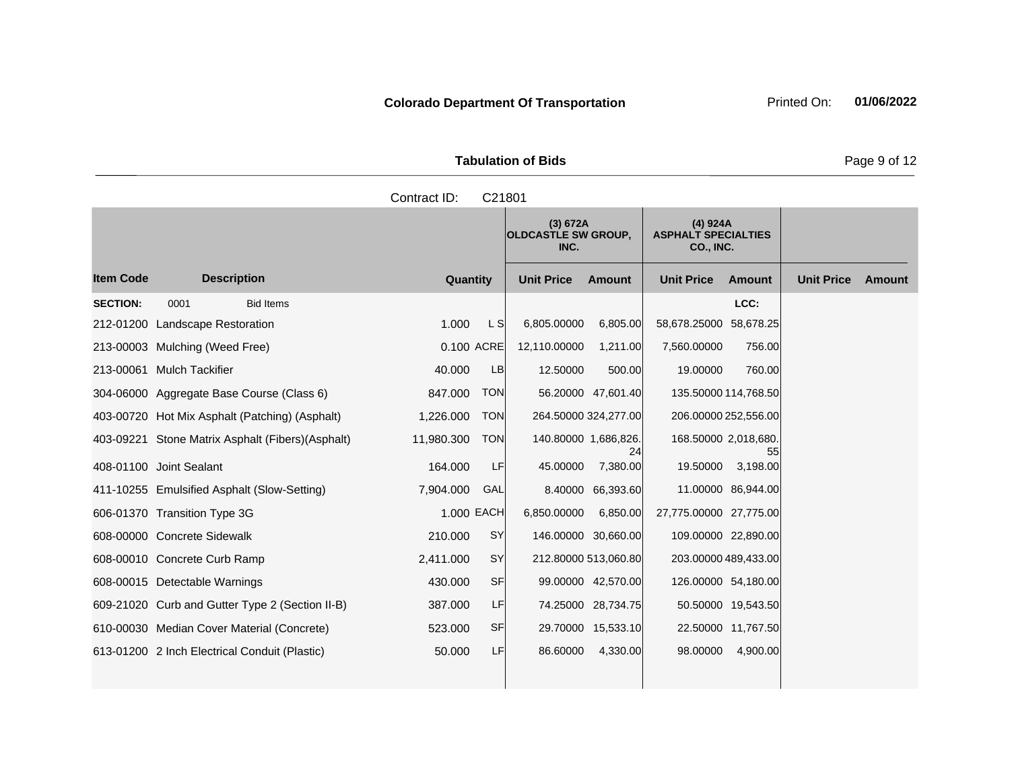| <b>Tabulation of Bids</b> |  |  |  |  |  |  |  |  |
|---------------------------|--|--|--|--|--|--|--|--|
| Contract ID: C21801       |  |  |  |  |  |  |  |  |
|                           |  |  |  |  |  |  |  |  |

|                  |                                                   |            |                | (3) 672A<br><b>OLDCASTLE SW GROUP,</b><br>INC. |                      | (4) 924A<br><b>ASPHALT SPECIALTIES</b><br><b>CO., INC.</b> |                    |                   |        |
|------------------|---------------------------------------------------|------------|----------------|------------------------------------------------|----------------------|------------------------------------------------------------|--------------------|-------------------|--------|
| <b>Item Code</b> | <b>Description</b>                                | Quantity   |                | <b>Unit Price</b>                              | Amount               | <b>Unit Price</b>                                          | Amount             | <b>Unit Price</b> | Amount |
| <b>SECTION:</b>  | 0001<br><b>Bid Items</b>                          |            |                |                                                |                      |                                                            | LCC:               |                   |        |
|                  | 212-01200 Landscape Restoration                   | 1.000      | L <sub>S</sub> | 6,805.00000                                    | 6,805.00             | 58,678.25000 58,678.25                                     |                    |                   |        |
|                  | 213-00003 Mulching (Weed Free)                    | 0.100 ACRE |                | 12,110.00000                                   | 1,211.00             | 7,560.00000                                                | 756.00             |                   |        |
|                  | 213-00061 Mulch Tackifier                         | 40.000     | <b>LB</b>      | 12.50000                                       | 500.00               | 19.00000                                                   | 760.00             |                   |        |
|                  | 304-06000 Aggregate Base Course (Class 6)         | 847.000    | <b>TON</b>     |                                                | 56.20000 47,601.40   | 135.50000 114,768.50                                       |                    |                   |        |
|                  | 403-00720 Hot Mix Asphalt (Patching) (Asphalt)    | 1,226.000  | <b>TON</b>     |                                                | 264.50000 324,277.00 | 206.00000 252,556.00                                       |                    |                   |        |
|                  | 403-09221 Stone Matrix Asphalt (Fibers) (Asphalt) | 11,980.300 | <b>TON</b>     | 140.80000 1,686,826.                           | 24                   | 168.50000 2,018,680.                                       | 55                 |                   |        |
|                  | 408-01100 Joint Sealant                           | 164.000    | LF             | 45.00000                                       | 7,380.00             | 19.50000                                                   | 3,198.00           |                   |        |
|                  | 411-10255 Emulsified Asphalt (Slow-Setting)       | 7,904.000  | GAL            |                                                | 8.40000 66,393.60    |                                                            | 11.00000 86,944.00 |                   |        |
|                  | 606-01370 Transition Type 3G                      | 1.000 EACH |                | 6,850.00000                                    | 6,850.00             | 27,775.00000 27,775.00                                     |                    |                   |        |
|                  | 608-00000 Concrete Sidewalk                       | 210,000    | SY             |                                                | 146.00000 30,660.00  | 109.00000 22,890.00                                        |                    |                   |        |
|                  | 608-00010 Concrete Curb Ramp                      | 2,411.000  | SY             |                                                | 212.80000 513,060.80 | 203.00000 489,433.00                                       |                    |                   |        |
|                  | 608-00015 Detectable Warnings                     | 430,000    | <b>SF</b>      |                                                | 99.00000 42,570.00   | 126.00000 54,180.00                                        |                    |                   |        |
|                  | 609-21020 Curb and Gutter Type 2 (Section II-B)   | 387.000    | LF             |                                                | 74.25000 28,734.75   |                                                            | 50.50000 19,543.50 |                   |        |
|                  | 610-00030 Median Cover Material (Concrete)        | 523,000    | <b>SF</b>      |                                                | 29.70000 15,533.10   |                                                            | 22.50000 11,767.50 |                   |        |
|                  | 613-01200 2 Inch Electrical Conduit (Plastic)     | 50.000     | <b>LF</b>      | 86.60000                                       | 4,330.00             | 98,00000                                                   | 4,900.00           |                   |        |

**Page 9 of 12**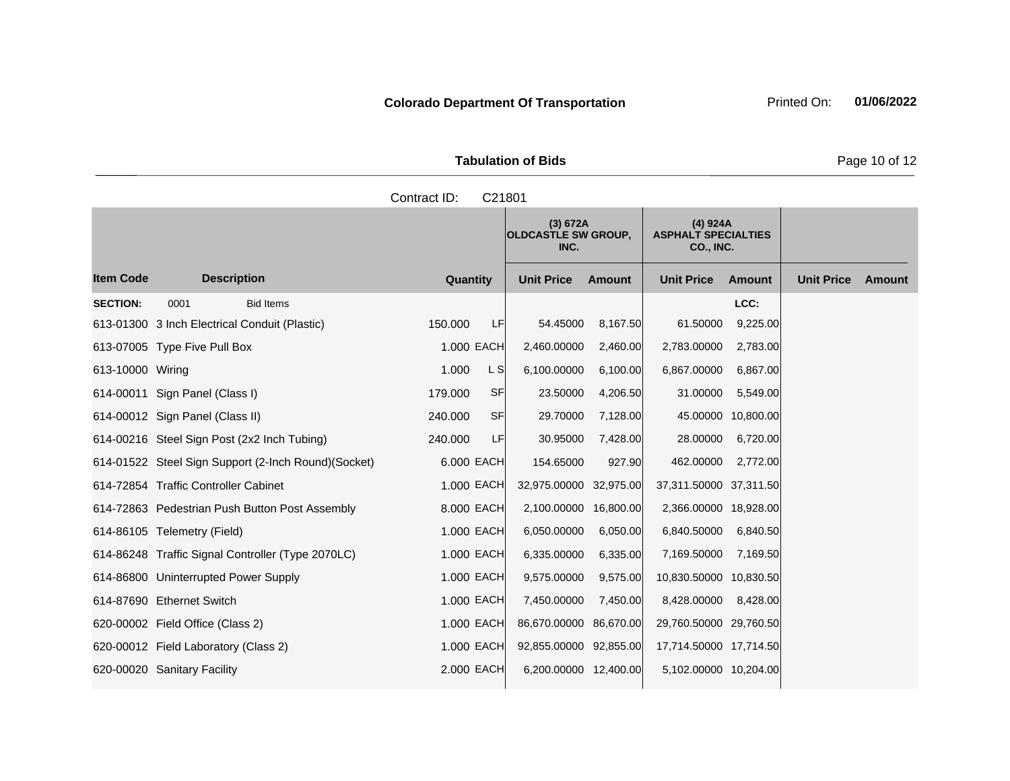| <b>Tabulation of Bids</b> |                     |              |  |  |  |  |  |
|---------------------------|---------------------|--------------|--|--|--|--|--|
| Contract ID: C21801       |                     |              |  |  |  |  |  |
|                           | $(2)$ 672 $\Lambda$ | $(1)$ $021A$ |  |  |  |  |  |

|                  |                                                      |                 |           | (3) 672A<br><b>OLDCASTLE SW GROUP,</b><br>INC. |               | (4) 924A<br><b>ASPHALT SPECIALTIES</b><br><b>CO., INC.</b> |                    |                   |        |
|------------------|------------------------------------------------------|-----------------|-----------|------------------------------------------------|---------------|------------------------------------------------------------|--------------------|-------------------|--------|
| <b>Item Code</b> | <b>Description</b>                                   | <b>Quantity</b> |           | <b>Unit Price</b>                              | <b>Amount</b> | <b>Unit Price</b>                                          | <b>Amount</b>      | <b>Unit Price</b> | Amount |
| <b>SECTION:</b>  | <b>Bid Items</b><br>0001                             |                 |           |                                                |               |                                                            | LCC:               |                   |        |
|                  | 613-01300 3 Inch Electrical Conduit (Plastic)        | 150.000         | <b>LF</b> | 54.45000                                       | 8,167.50      | 61.50000                                                   | 9,225.00           |                   |        |
|                  | 613-07005 Type Five Pull Box                         | 1.000 EACH      |           | 2,460.00000                                    | 2,460.00      | 2,783.00000                                                | 2,783.00           |                   |        |
| 613-10000 Wiring |                                                      | 1.000           | L S       | 6,100.00000                                    | 6,100.00      | 6,867.00000                                                | 6,867.00           |                   |        |
|                  | 614-00011 Sign Panel (Class I)                       | 179.000         | SF        | 23.50000                                       | 4,206.50      | 31.00000                                                   | 5,549.00           |                   |        |
|                  | 614-00012 Sign Panel (Class II)                      | 240.000         | SF        | 29.70000                                       | 7,128.00      |                                                            | 45.00000 10,800.00 |                   |        |
|                  | 614-00216 Steel Sign Post (2x2 Inch Tubing)          | 240.000         | LF        | 30.95000                                       | 7,428.00      | 28.00000                                                   | 6,720.00           |                   |        |
|                  | 614-01522 Steel Sign Support (2-Inch Round) (Socket) | 6.000 EACH      |           | 154.65000                                      | 927.90        | 462.00000                                                  | 2,772.00           |                   |        |
|                  | 614-72854 Traffic Controller Cabinet                 | 1,000 EACH      |           | 32,975.00000                                   | 32,975.00     | 37,311.50000 37,311.50                                     |                    |                   |        |
|                  | 614-72863 Pedestrian Push Button Post Assembly       | 8.000 EACH      |           | 2,100.00000                                    | 16,800.00     | 2,366.00000 18,928.00                                      |                    |                   |        |
|                  | 614-86105 Telemetry (Field)                          | 1.000 EACH      |           | 6,050.00000                                    | 6,050.00      | 6,840.50000                                                | 6,840.50           |                   |        |
|                  | 614-86248 Traffic Signal Controller (Type 2070LC)    | 1.000 EACH      |           | 6,335.00000                                    | 6,335.00      | 7,169.50000                                                | 7,169.50           |                   |        |
|                  | 614-86800 Uninterrupted Power Supply                 | 1.000 EACH      |           | 9,575.00000                                    | 9,575.00      | 10,830.50000 10,830.50                                     |                    |                   |        |
|                  | 614-87690 Ethernet Switch                            | 1,000 EACH      |           | 7,450.00000                                    | 7,450.00      | 8,428,00000                                                | 8,428.00           |                   |        |
|                  | 620-00002 Field Office (Class 2)                     | 1.000 EACH      |           | 86,670.00000 86,670.00                         |               | 29,760.50000 29,760.50                                     |                    |                   |        |
|                  | 620-00012 Field Laboratory (Class 2)                 | 1.000 EACH      |           | 92,855.00000 92,855.00                         |               | 17,714.50000 17,714.50                                     |                    |                   |        |
|                  | 620-00020 Sanitary Facility                          | 2,000 EACH      |           | 6,200.00000 12,400.00                          |               | 5,102.00000 10,204.00                                      |                    |                   |        |
|                  |                                                      |                 |           |                                                |               |                                                            |                    |                   |        |

**Page 10 of 12**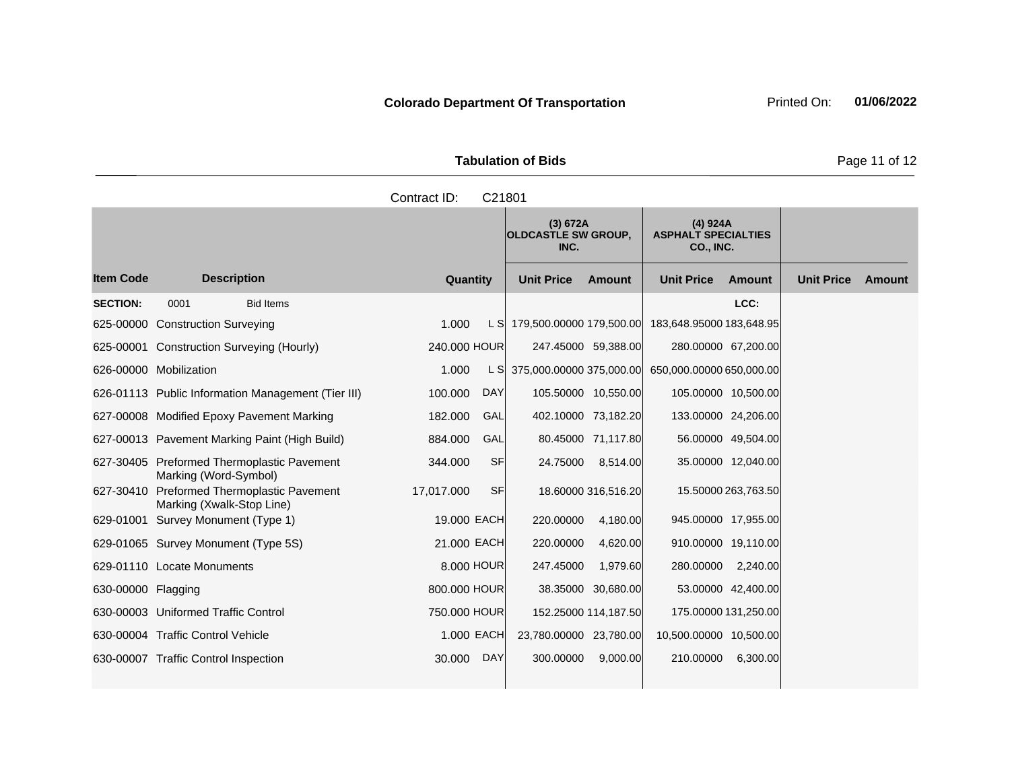| <b>Tabulation of Bids</b> |  |  |  |  |  |  |  |
|---------------------------|--|--|--|--|--|--|--|
| Contract ID: C21801       |  |  |  |  |  |  |  |

|                    |                                                                     |                 |            | (3) 672A<br><b>OLDCASTLE SW GROUP,</b><br>INC. |                      | (4) 924A<br><b>ASPHALT SPECIALTIES</b><br>CO., INC. |                     |                   |        |
|--------------------|---------------------------------------------------------------------|-----------------|------------|------------------------------------------------|----------------------|-----------------------------------------------------|---------------------|-------------------|--------|
| <b>Item Code</b>   | <b>Description</b>                                                  | <b>Quantity</b> |            | <b>Unit Price</b>                              | <b>Amount</b>        | <b>Unit Price</b>                                   | <b>Amount</b>       | <b>Unit Price</b> | Amount |
| <b>SECTION:</b>    | 0001<br><b>Bid Items</b>                                            |                 |            |                                                |                      |                                                     | LCC:                |                   |        |
| 625-00000          | <b>Construction Surveying</b>                                       | 1.000           | L SI       | 179,500.00000 179,500.00                       |                      | 183,648.95000 183,648.95                            |                     |                   |        |
| 625-00001          | <b>Construction Surveying (Hourly)</b>                              | 240,000 HOUR    |            |                                                | 247.45000 59,388.00  |                                                     | 280.00000 67,200.00 |                   |        |
|                    | 626-00000 Mobilization                                              | 1.000           | L SI       | 375,000.00000 375,000.00                       |                      | 650,000.00000 650,000.00                            |                     |                   |        |
|                    | 626-01113 Public Information Management (Tier III)                  | 100.000         | <b>DAY</b> |                                                | 105.50000 10,550.00  |                                                     | 105.00000 10,500.00 |                   |        |
|                    | 627-00008 Modified Epoxy Pavement Marking                           | 182,000         | GAL        |                                                | 402.10000 73,182.20  |                                                     | 133.00000 24,206.00 |                   |        |
|                    | 627-00013 Pavement Marking Paint (High Build)                       | 884.000         | GAL        |                                                | 80.45000 71,117.80   |                                                     | 56.00000 49,504.00  |                   |        |
|                    | 627-30405 Preformed Thermoplastic Pavement<br>Marking (Word-Symbol) | 344.000         | SFI        | 24.75000                                       | 8,514.00             |                                                     | 35.00000 12,040.00  |                   |        |
| 627-30410          | Preformed Thermoplastic Pavement<br>Marking (Xwalk-Stop Line)       | 17,017.000      | SF         |                                                | 18.60000 316,516.20  |                                                     | 15.50000 263,763.50 |                   |        |
|                    | 629-01001 Survey Monument (Type 1)                                  | 19.000 EACH     |            | 220.00000                                      | 4,180.00             |                                                     | 945.00000 17,955.00 |                   |        |
|                    | 629-01065 Survey Monument (Type 5S)                                 | 21,000 EACH     |            | 220.00000                                      | 4,620.00             |                                                     | 910.00000 19,110.00 |                   |        |
|                    | 629-01110 Locate Monuments                                          | 8,000 HOUR      |            | 247.45000                                      | 1,979.60             | 280.00000                                           | 2,240.00            |                   |        |
| 630-00000 Flagging |                                                                     | 800.000 HOUR    |            |                                                | 38.35000 30,680.00   |                                                     | 53.00000 42,400.00  |                   |        |
|                    | 630-00003 Uniformed Traffic Control                                 | 750,000 HOUR    |            |                                                | 152.25000 114,187.50 | 175.00000 131,250.00                                |                     |                   |        |
|                    | 630-00004 Traffic Control Vehicle                                   | 1.000 EACH      |            | 23,780.00000 23,780.00                         |                      | 10,500.00000 10,500.00                              |                     |                   |        |
|                    | 630-00007 Traffic Control Inspection                                | 30,000          | <b>DAY</b> | 300.00000                                      | 9,000.00             | 210.00000                                           | 6,300.00            |                   |        |

Page 11 of 12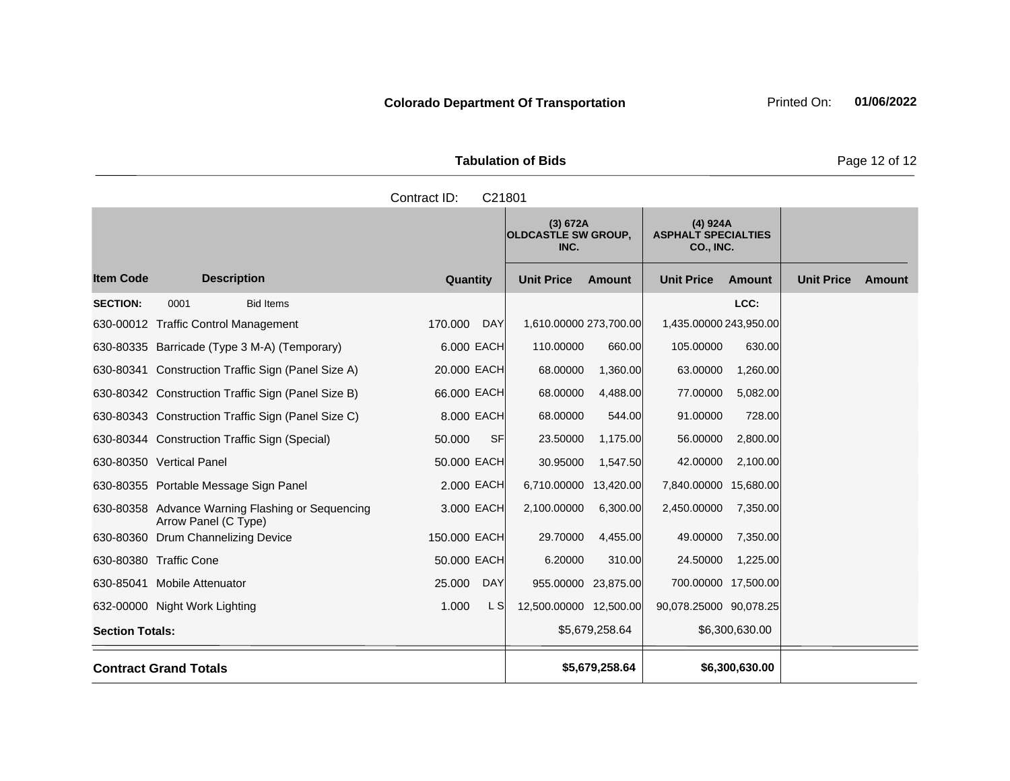| <b>Tabulation of Bids</b> |  |  |  |  |  |  |  |  |
|---------------------------|--|--|--|--|--|--|--|--|
| Contract ID: C21801       |  |  |  |  |  |  |  |  |
|                           |  |  |  |  |  |  |  |  |

|                        |                                                                          |              |            | (3) 672A<br><b>OLDCASTLE SW GROUP,</b><br>INC. |                | (4) 924A<br><b>ASPHALT SPECIALTIES</b><br>CO., INC. |                |                   |        |
|------------------------|--------------------------------------------------------------------------|--------------|------------|------------------------------------------------|----------------|-----------------------------------------------------|----------------|-------------------|--------|
| <b>Item Code</b>       | <b>Description</b>                                                       | Quantity     |            | <b>Unit Price</b>                              | <b>Amount</b>  | <b>Unit Price</b>                                   | <b>Amount</b>  | <b>Unit Price</b> | Amount |
| <b>SECTION:</b>        | 0001<br><b>Bid Items</b>                                                 |              |            |                                                |                |                                                     | LCC:           |                   |        |
|                        | 630-00012 Traffic Control Management                                     | 170.000      | DAY        | 1,610.00000 273,700.00                         |                | 1,435.00000 243,950.00                              |                |                   |        |
|                        | 630-80335 Barricade (Type 3 M-A) (Temporary)                             | 6.000 EACH   |            | 110.00000                                      | 660.00         | 105.00000                                           | 630.00         |                   |        |
|                        | 630-80341 Construction Traffic Sign (Panel Size A)                       | 20.000 EACH  |            | 68.00000                                       | 1,360.00       | 63.00000                                            | 1,260.00       |                   |        |
|                        | 630-80342 Construction Traffic Sign (Panel Size B)                       | 66.000 EACH  |            | 68.00000                                       | 4,488.00       | 77.00000                                            | 5,082.00       |                   |        |
|                        | 630-80343 Construction Traffic Sign (Panel Size C)                       | 8.000 EACH   |            | 68.00000                                       | 544.00         | 91.00000                                            | 728.00         |                   |        |
|                        | 630-80344 Construction Traffic Sign (Special)                            | 50.000       | <b>SF</b>  | 23.50000                                       | 1,175.00       | 56.00000                                            | 2,800.00       |                   |        |
|                        | 630-80350 Vertical Panel                                                 | 50.000 EACH  |            | 30.95000                                       | 1,547.50       | 42.00000                                            | 2,100.00       |                   |        |
|                        | 630-80355 Portable Message Sign Panel                                    | 2.000 EACH   |            | 6,710.00000                                    | 13,420.00      | 7,840.00000 15,680.00                               |                |                   |        |
|                        | 630-80358 Advance Warning Flashing or Sequencing<br>Arrow Panel (C Type) | 3.000 EACH   |            | 2,100.00000                                    | 6,300.00       | 2,450.00000                                         | 7,350.00       |                   |        |
|                        | 630-80360 Drum Channelizing Device                                       | 150.000 EACH |            | 29.70000                                       | 4,455.00       | 49.00000                                            | 7,350.00       |                   |        |
|                        | 630-80380 Traffic Cone                                                   | 50,000 EACH  |            | 6.20000                                        | 310.00         | 24.50000                                            | 1,225.00       |                   |        |
| 630-85041              | <b>Mobile Attenuator</b>                                                 | 25.000       | <b>DAY</b> | 955.00000                                      | 23,875.00      | 700.00000 17,500.00                                 |                |                   |        |
|                        | 632-00000 Night Work Lighting                                            | 1.000        | L SI       | 12,500.00000 12,500.00                         |                | 90,078.25000 90,078.25                              |                |                   |        |
| <b>Section Totals:</b> |                                                                          |              |            |                                                | \$5,679,258.64 |                                                     | \$6,300,630.00 |                   |        |
|                        | <b>Contract Grand Totals</b>                                             |              |            |                                                | \$5,679,258.64 |                                                     | \$6,300,630.00 |                   |        |

Page 12 of 12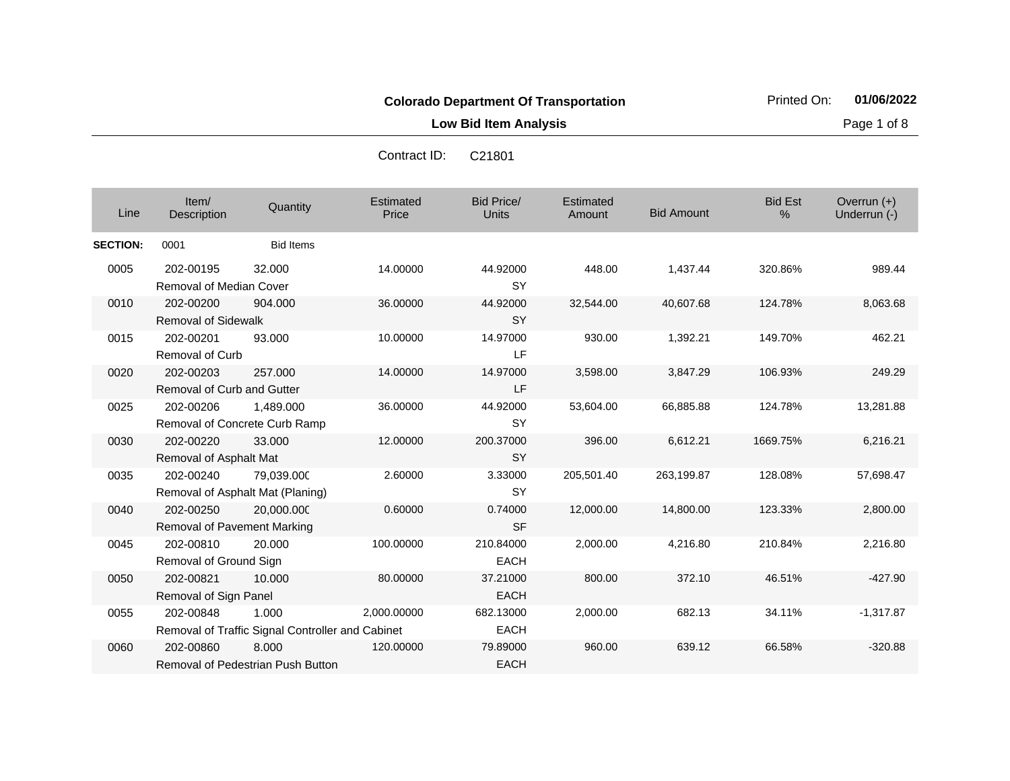**Low Bid Item Analysis Page 1 of 8** 

| Line            | Item/<br>Description                           | Quantity                                                  | Estimated<br>Price | Bid Price/<br><b>Units</b> | Estimated<br>Amount | <b>Bid Amount</b> | <b>Bid Est</b><br>$\frac{0}{0}$ | Overrun $(+)$<br>Underrun (-) |
|-----------------|------------------------------------------------|-----------------------------------------------------------|--------------------|----------------------------|---------------------|-------------------|---------------------------------|-------------------------------|
| <b>SECTION:</b> | 0001                                           | <b>Bid Items</b>                                          |                    |                            |                     |                   |                                 |                               |
| 0005            | 202-00195<br>Removal of Median Cover           | 32,000                                                    | 14.00000           | 44.92000<br><b>SY</b>      | 448.00              | 1,437.44          | 320.86%                         | 989.44                        |
| 0010            | 202-00200<br><b>Removal of Sidewalk</b>        | 904.000                                                   | 36.00000           | 44.92000<br><b>SY</b>      | 32,544.00           | 40,607.68         | 124.78%                         | 8,063.68                      |
| 0015            | 202-00201<br><b>Removal of Curb</b>            | 93.000                                                    | 10.00000           | 14.97000<br>LF             | 930.00              | 1,392.21          | 149.70%                         | 462.21                        |
| 0020            | 202-00203<br><b>Removal of Curb and Gutter</b> | 257,000                                                   | 14.00000           | 14.97000<br>LF             | 3,598.00            | 3,847.29          | 106.93%                         | 249.29                        |
| 0025            | 202-00206<br>Removal of Concrete Curb Ramp     | 1,489.000                                                 | 36.00000           | 44.92000<br><b>SY</b>      | 53,604.00           | 66,885.88         | 124.78%                         | 13,281.88                     |
| 0030            | 202-00220<br>Removal of Asphalt Mat            | 33,000                                                    | 12.00000           | 200.37000<br><b>SY</b>     | 396.00              | 6,612.21          | 1669.75%                        | 6,216.21                      |
| 0035            | 202-00240                                      | 79,039.000<br>Removal of Asphalt Mat (Planing)            | 2.60000            | 3.33000<br><b>SY</b>       | 205,501.40          | 263,199.87        | 128.08%                         | 57,698.47                     |
| 0040            | 202-00250<br>Removal of Pavement Marking       | 20,000.000                                                | 0.60000            | 0.74000<br><b>SF</b>       | 12,000.00           | 14,800.00         | 123.33%                         | 2,800.00                      |
| 0045            | 202-00810<br>Removal of Ground Sign            | 20,000                                                    | 100.00000          | 210.84000<br><b>EACH</b>   | 2,000.00            | 4,216.80          | 210.84%                         | 2,216.80                      |
| 0050            | 202-00821<br>Removal of Sign Panel             | 10.000                                                    | 80.00000           | 37.21000<br><b>EACH</b>    | 800.00              | 372.10            | 46.51%                          | $-427.90$                     |
| 0055            | 202-00848                                      | 1.000<br>Removal of Traffic Signal Controller and Cabinet | 2,000.00000        | 682.13000<br><b>EACH</b>   | 2,000.00            | 682.13            | 34.11%                          | $-1,317.87$                   |
| 0060            | 202-00860                                      | 8.000<br>Removal of Pedestrian Push Button                | 120,00000          | 79.89000<br><b>EACH</b>    | 960.00              | 639.12            | 66.58%                          | $-320.88$                     |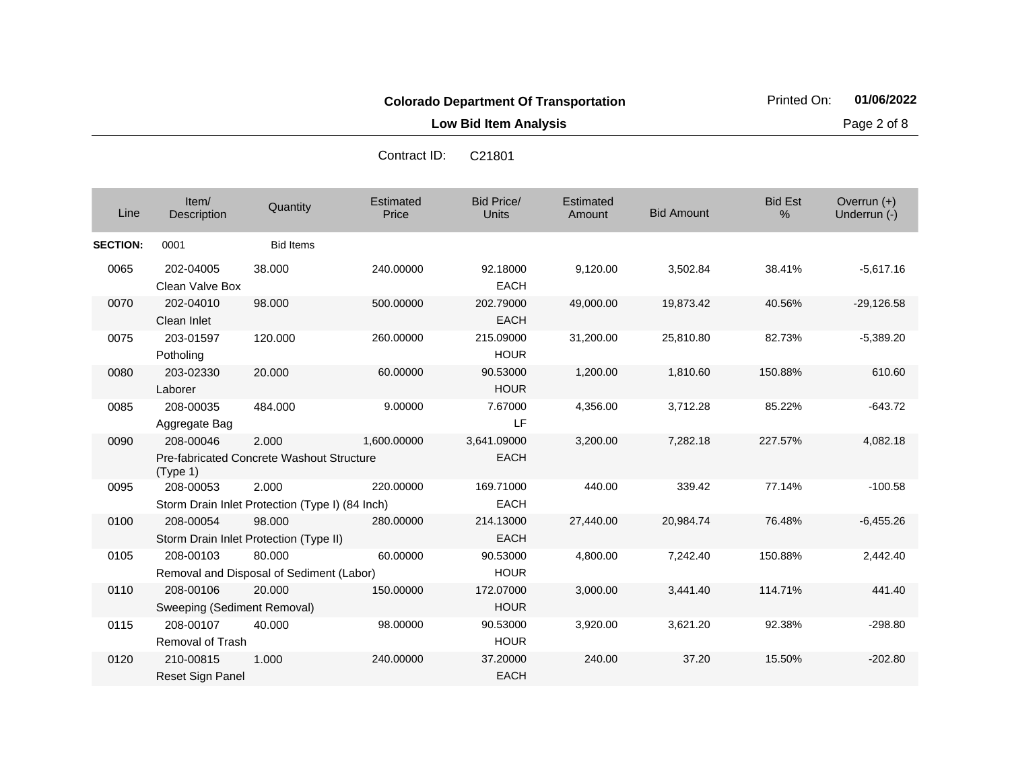**Low Bid Item Analysis Page 2 of 8** 

| Line            | Item/<br>Description                     | Quantity                                                  | Estimated<br>Price | <b>Bid Price/</b><br><b>Units</b> | Estimated<br>Amount | <b>Bid Amount</b> | <b>Bid Est</b><br>% | Overrun (+)<br>Underrun (-) |
|-----------------|------------------------------------------|-----------------------------------------------------------|--------------------|-----------------------------------|---------------------|-------------------|---------------------|-----------------------------|
| <b>SECTION:</b> | 0001                                     | <b>Bid Items</b>                                          |                    |                                   |                     |                   |                     |                             |
| 0065            | 202-04005<br>Clean Valve Box             | 38.000                                                    | 240.00000          | 92.18000<br><b>EACH</b>           | 9,120.00            | 3,502.84          | 38.41%              | $-5.617.16$                 |
| 0070            | 202-04010<br>Clean Inlet                 | 98.000                                                    | 500.00000          | 202.79000<br><b>EACH</b>          | 49,000.00           | 19,873.42         | 40.56%              | $-29,126.58$                |
| 0075            | 203-01597<br>Potholing                   | 120.000                                                   | 260.00000          | 215.09000<br><b>HOUR</b>          | 31,200.00           | 25,810.80         | 82.73%              | $-5,389.20$                 |
| 0080            | 203-02330<br>Laborer                     | 20.000                                                    | 60.00000           | 90.53000<br><b>HOUR</b>           | 1,200.00            | 1,810.60          | 150.88%             | 610.60                      |
| 0085            | 208-00035<br>Aggregate Bag               | 484.000                                                   | 9.00000            | 7.67000<br>LF                     | 4,356.00            | 3,712.28          | 85.22%              | $-643.72$                   |
| 0090            | 208-00046<br>(Type 1)                    | 2.000<br><b>Pre-fabricated Concrete Washout Structure</b> | 1,600.00000        | 3,641.09000<br><b>EACH</b>        | 3,200.00            | 7,282.18          | 227.57%             | 4,082.18                    |
| 0095            | 208-00053                                | 2.000<br>Storm Drain Inlet Protection (Type I) (84 Inch)  | 220.00000          | 169.71000<br><b>EACH</b>          | 440.00              | 339.42            | 77.14%              | $-100.58$                   |
| 0100            | 208-00054                                | 98.000<br>Storm Drain Inlet Protection (Type II)          | 280.00000          | 214.13000<br><b>EACH</b>          | 27,440.00           | 20,984.74         | 76.48%              | $-6,455.26$                 |
| 0105            | 208-00103                                | 80.000<br>Removal and Disposal of Sediment (Labor)        | 60.00000           | 90.53000<br><b>HOUR</b>           | 4,800.00            | 7,242.40          | 150.88%             | 2,442.40                    |
| 0110            | 208-00106<br>Sweeping (Sediment Removal) | 20.000                                                    | 150.00000          | 172.07000<br><b>HOUR</b>          | 3,000.00            | 3,441.40          | 114.71%             | 441.40                      |
| 0115            | 208-00107<br>Removal of Trash            | 40.000                                                    | 98.00000           | 90.53000<br><b>HOUR</b>           | 3,920.00            | 3,621.20          | 92.38%              | $-298.80$                   |
| 0120            | 210-00815<br>Reset Sign Panel            | 1.000                                                     | 240.00000          | 37.20000<br><b>EACH</b>           | 240.00              | 37.20             | 15.50%              | $-202.80$                   |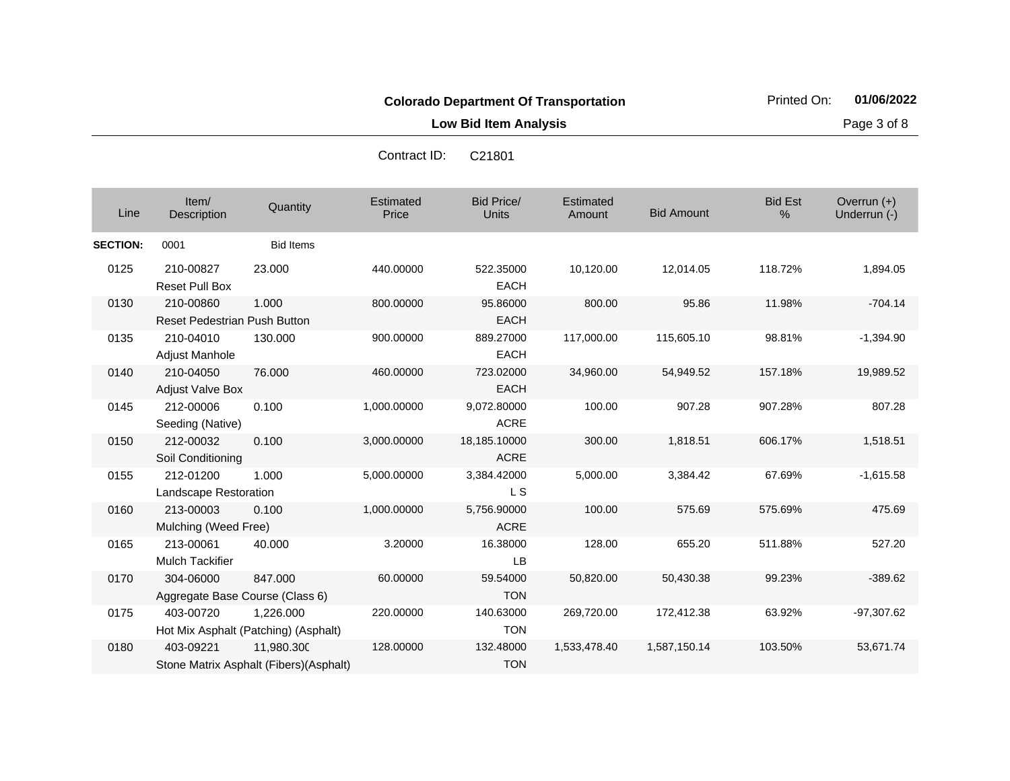**Low Bid Item Analysis Page 3 of 8** 

| Line            | Item/<br>Description                         | Quantity                                              | Estimated<br>Price | <b>Bid Price/</b><br>Units  | <b>Estimated</b><br>Amount | <b>Bid Amount</b> | <b>Bid Est</b><br>% | Overrun (+)<br>Underrun (-) |
|-----------------|----------------------------------------------|-------------------------------------------------------|--------------------|-----------------------------|----------------------------|-------------------|---------------------|-----------------------------|
| <b>SECTION:</b> | 0001                                         | <b>Bid Items</b>                                      |                    |                             |                            |                   |                     |                             |
| 0125            | 210-00827<br><b>Reset Pull Box</b>           | 23.000                                                | 440.00000          | 522.35000<br><b>EACH</b>    | 10,120.00                  | 12,014.05         | 118.72%             | 1,894.05                    |
| 0130            | 210-00860<br>Reset Pedestrian Push Button    | 1.000                                                 | 800.00000          | 95.86000<br><b>EACH</b>     | 800.00                     | 95.86             | 11.98%              | $-704.14$                   |
| 0135            | 210-04010<br>Adjust Manhole                  | 130.000                                               | 900.00000          | 889.27000<br><b>EACH</b>    | 117,000.00                 | 115,605.10        | 98.81%              | $-1,394.90$                 |
| 0140            | 210-04050<br><b>Adjust Valve Box</b>         | 76.000                                                | 460.00000          | 723.02000<br><b>EACH</b>    | 34,960.00                  | 54,949.52         | 157.18%             | 19,989.52                   |
| 0145            | 212-00006<br>Seeding (Native)                | 0.100                                                 | 1,000.00000        | 9,072.80000<br><b>ACRE</b>  | 100.00                     | 907.28            | 907.28%             | 807.28                      |
| 0150            | 212-00032<br>Soil Conditioning               | 0.100                                                 | 3,000.00000        | 18,185.10000<br><b>ACRE</b> | 300.00                     | 1,818.51          | 606.17%             | 1,518.51                    |
| 0155            | 212-01200<br>Landscape Restoration           | 1.000                                                 | 5,000.00000        | 3,384.42000<br>L S          | 5,000.00                   | 3,384.42          | 67.69%              | $-1,615.58$                 |
| 0160            | 213-00003<br>Mulching (Weed Free)            | 0.100                                                 | 1,000.00000        | 5,756.90000<br><b>ACRE</b>  | 100.00                     | 575.69            | 575.69%             | 475.69                      |
| 0165            | 213-00061<br><b>Mulch Tackifier</b>          | 40.000                                                | 3.20000            | 16.38000<br>LB              | 128.00                     | 655.20            | 511.88%             | 527.20                      |
| 0170            | 304-06000<br>Aggregate Base Course (Class 6) | 847.000                                               | 60.00000           | 59.54000<br><b>TON</b>      | 50,820.00                  | 50,430.38         | 99.23%              | $-389.62$                   |
| 0175            | 403-00720                                    | 1.226.000<br>Hot Mix Asphalt (Patching) (Asphalt)     | 220.00000          | 140.63000<br><b>TON</b>     | 269,720.00                 | 172,412.38        | 63.92%              | $-97,307.62$                |
| 0180            | 403-09221                                    | 11,980.300<br>Stone Matrix Asphalt (Fibers) (Asphalt) | 128.00000          | 132.48000<br><b>TON</b>     | 1,533,478.40               | 1,587,150.14      | 103.50%             | 53,671.74                   |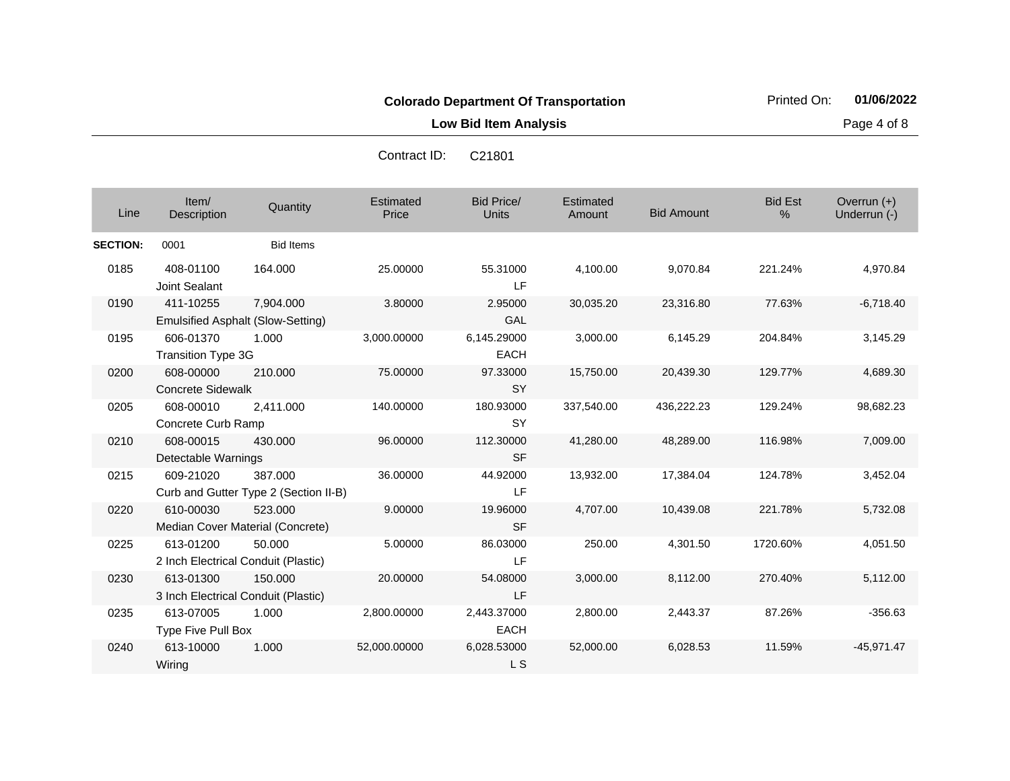**Low Bid Item Analysis Page 4 of 8** 

|                 |                                                  |                                                  | Contract ID:       | C <sub>21801</sub>         |                     |                   |                     |                             |
|-----------------|--------------------------------------------------|--------------------------------------------------|--------------------|----------------------------|---------------------|-------------------|---------------------|-----------------------------|
| Line            | Item/<br>Description                             | Quantity                                         | Estimated<br>Price | Bid Price/<br><b>Units</b> | Estimated<br>Amount | <b>Bid Amount</b> | <b>Bid Est</b><br>% | Overrun (+)<br>Underrun (-) |
| <b>SECTION:</b> | 0001                                             | <b>Bid Items</b>                                 |                    |                            |                     |                   |                     |                             |
| 0185            | 408-01100<br>Joint Sealant                       | 164.000                                          | 25.00000           | 55.31000<br><b>LF</b>      | 4,100.00            | 9,070.84          | 221.24%             | 4,970.84                    |
| 0190            | 411-10255<br>Emulsified Asphalt (Slow-Setting)   | 7,904.000                                        | 3.80000            | 2.95000<br>GAL             | 30,035.20           | 23,316.80         | 77.63%              | $-6,718.40$                 |
| 0195            | 606-01370<br><b>Transition Type 3G</b>           | 1.000                                            | 3,000.00000        | 6,145.29000<br><b>EACH</b> | 3,000.00            | 6,145.29          | 204.84%             | 3,145.29                    |
| 0200            | 608-00000<br><b>Concrete Sidewalk</b>            | 210,000                                          | 75.00000           | 97.33000<br><b>SY</b>      | 15,750.00           | 20,439.30         | 129.77%             | 4,689.30                    |
| 0205            | 608-00010<br>Concrete Curb Ramp                  | 2,411.000                                        | 140.00000          | 180.93000<br><b>SY</b>     | 337,540.00          | 436,222.23        | 129.24%             | 98,682.23                   |
| 0210            | 608-00015<br>Detectable Warnings                 | 430.000                                          | 96.00000           | 112.30000<br><b>SF</b>     | 41,280.00           | 48,289.00         | 116.98%             | 7,009.00                    |
| 0215            | 609-21020                                        | 387.000<br>Curb and Gutter Type 2 (Section II-B) | 36.00000           | 44.92000<br>LF             | 13,932.00           | 17,384.04         | 124.78%             | 3,452.04                    |
| 0220            | 610-00030<br>Median Cover Material (Concrete)    | 523.000                                          | 9.00000            | 19.96000<br><b>SF</b>      | 4,707.00            | 10,439.08         | 221.78%             | 5,732.08                    |
| 0225            | 613-01200<br>2 Inch Electrical Conduit (Plastic) | 50.000                                           | 5.00000            | 86.03000<br>LF             | 250.00              | 4,301.50          | 1720.60%            | 4,051.50                    |
| 0230            | 613-01300<br>3 Inch Electrical Conduit (Plastic) | 150.000                                          | 20.00000           | 54.08000<br>LF             | 3,000.00            | 8,112.00          | 270.40%             | 5,112.00                    |
| 0235            | 613-07005<br>Type Five Pull Box                  | 1.000                                            | 2,800.00000        | 2,443.37000<br><b>EACH</b> | 2,800.00            | 2,443.37          | 87.26%              | $-356.63$                   |
| 0240            | 613-10000                                        | 1.000                                            | 52,000.00000       | 6,028.53000                | 52,000.00           | 6,028.53          | 11.59%              | $-45.971.47$                |

L S

Contract ID: C21801

Wiring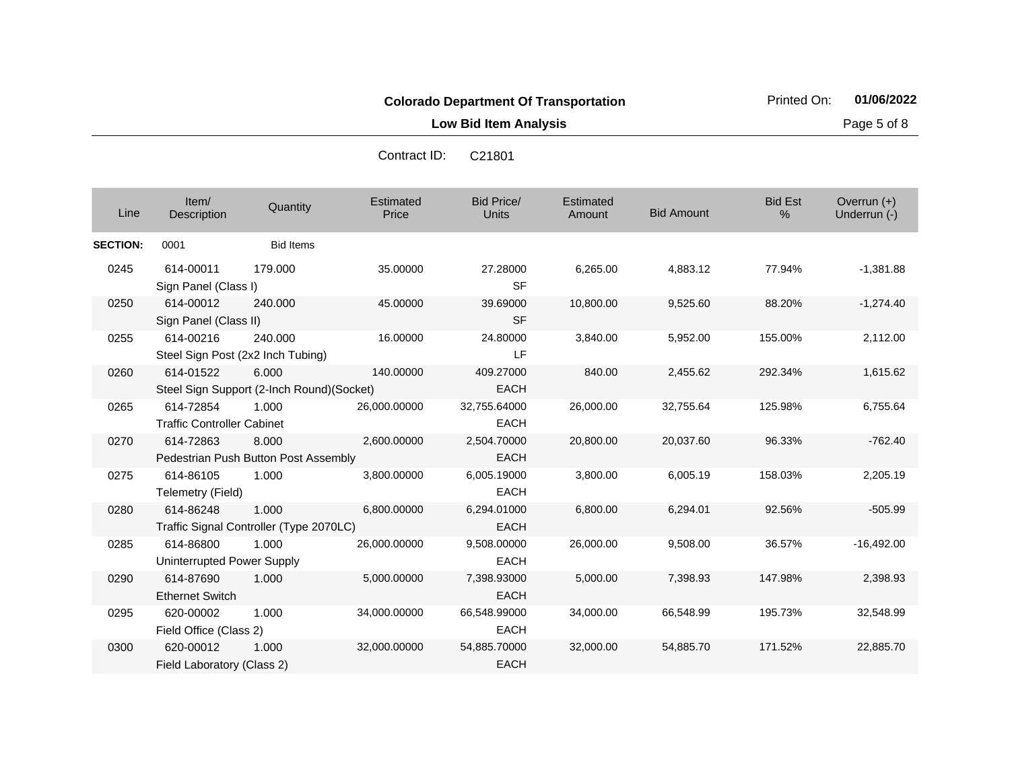**Low Bid Item Analysis Page 5 of 8** 

| Line            | Item/<br>Description                           | Quantity                                           | Estimated<br>Price | <b>Bid Price/</b><br><b>Units</b> | Estimated<br>Amount | <b>Bid Amount</b> | <b>Bid Est</b><br>% | Overrun $(+)$<br>Underrun (-) |
|-----------------|------------------------------------------------|----------------------------------------------------|--------------------|-----------------------------------|---------------------|-------------------|---------------------|-------------------------------|
| <b>SECTION:</b> | 0001                                           | <b>Bid Items</b>                                   |                    |                                   |                     |                   |                     |                               |
| 0245            | 614-00011<br>Sign Panel (Class I)              | 179.000                                            | 35.00000           | 27.28000<br><b>SF</b>             | 6,265.00            | 4,883.12          | 77.94%              | $-1,381.88$                   |
| 0250            | 614-00012<br>Sign Panel (Class II)             | 240,000                                            | 45.00000           | 39.69000<br><b>SF</b>             | 10,800.00           | 9,525.60          | 88.20%              | $-1,274.40$                   |
| 0255            | 614-00216                                      | 240.000<br>Steel Sign Post (2x2 Inch Tubing)       | 16.00000           | 24.80000<br>LF                    | 3.840.00            | 5,952.00          | 155.00%             | 2,112.00                      |
| 0260            | 614-01522                                      | 6.000<br>Steel Sign Support (2-Inch Round)(Socket) | 140.00000          | 409.27000<br><b>EACH</b>          | 840.00              | 2,455.62          | 292.34%             | 1,615.62                      |
| 0265            | 614-72854<br><b>Traffic Controller Cabinet</b> | 1.000                                              | 26,000.00000       | 32,755.64000<br><b>EACH</b>       | 26,000.00           | 32,755.64         | 125.98%             | 6,755.64                      |
| 0270            | 614-72863                                      | 8.000<br>Pedestrian Push Button Post Assembly      | 2,600.00000        | 2,504.70000<br><b>EACH</b>        | 20,800.00           | 20,037.60         | 96.33%              | $-762.40$                     |
| 0275            | 614-86105<br>Telemetry (Field)                 | 1.000                                              | 3,800.00000        | 6,005.19000<br><b>EACH</b>        | 3,800.00            | 6,005.19          | 158.03%             | 2,205.19                      |
| 0280            | 614-86248                                      | 1.000<br>Traffic Signal Controller (Type 2070LC)   | 6,800.00000        | 6,294.01000<br><b>EACH</b>        | 6,800.00            | 6,294.01          | 92.56%              | $-505.99$                     |
| 0285            | 614-86800<br>Uninterrupted Power Supply        | 1.000                                              | 26,000.00000       | 9,508.00000<br><b>EACH</b>        | 26,000.00           | 9,508.00          | 36.57%              | $-16,492.00$                  |
| 0290            | 614-87690<br><b>Ethernet Switch</b>            | 1.000                                              | 5,000.00000        | 7,398.93000<br><b>EACH</b>        | 5,000.00            | 7,398.93          | 147.98%             | 2,398.93                      |
| 0295            | 620-00002<br>Field Office (Class 2)            | 1.000                                              | 34,000.00000       | 66,548.99000<br><b>EACH</b>       | 34,000.00           | 66,548.99         | 195.73%             | 32,548.99                     |
| 0300            | 620-00012<br>Field Laboratory (Class 2)        | 1.000                                              | 32,000.00000       | 54,885.70000<br><b>EACH</b>       | 32,000.00           | 54,885.70         | 171.52%             | 22,885.70                     |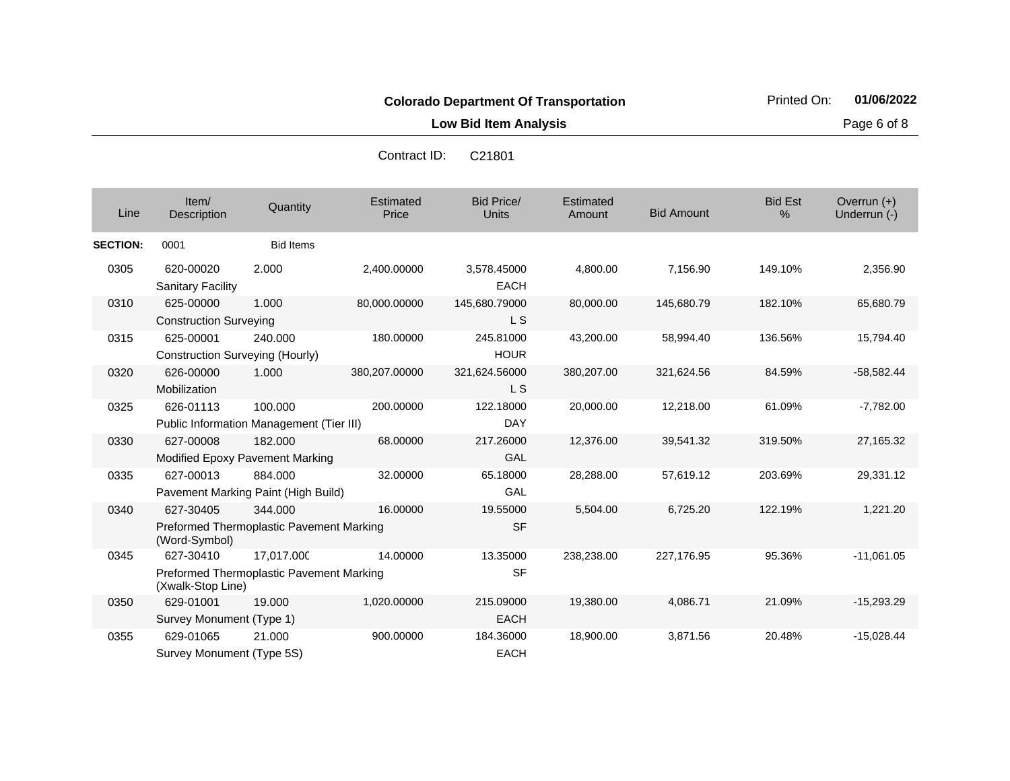**Low Bid Item Analysis Page 6 of 8** 

| Line            | Item/<br>Description                                          | Quantity         | Estimated<br>Price | Bid Price/<br><b>Units</b> | Estimated<br>Amount | <b>Bid Amount</b> | <b>Bid Est</b><br>% | Overrun $(+)$<br>Underrun (-) |
|-----------------|---------------------------------------------------------------|------------------|--------------------|----------------------------|---------------------|-------------------|---------------------|-------------------------------|
| <b>SECTION:</b> | 0001                                                          | <b>Bid Items</b> |                    |                            |                     |                   |                     |                               |
| 0305            | 620-00020<br><b>Sanitary Facility</b>                         | 2.000            | 2,400.00000        | 3,578.45000<br><b>EACH</b> | 4,800.00            | 7,156.90          | 149.10%             | 2,356.90                      |
| 0310            | 625-00000                                                     | 1.000            | 80,000.00000       | 145,680.79000              | 80,000.00           | 145,680.79        | 182.10%             | 65,680.79                     |
|                 | <b>Construction Surveying</b>                                 |                  |                    | L <sub>S</sub>             |                     |                   |                     |                               |
| 0315            | 625-00001                                                     | 240.000          | 180.00000          | 245.81000                  | 43,200.00           | 58,994.40         | 136.56%             | 15,794.40                     |
|                 | <b>Construction Surveying (Hourly)</b>                        |                  |                    | <b>HOUR</b>                |                     |                   |                     |                               |
| 0320            | 626-00000                                                     | 1.000            | 380,207.00000      | 321,624.56000              | 380,207.00          | 321,624.56        | 84.59%              | $-58,582.44$                  |
|                 | Mobilization                                                  |                  |                    | L S                        |                     |                   |                     |                               |
| 0325            | 626-01113                                                     | 100.000          | 200.00000          | 122.18000                  | 20,000.00           | 12,218.00         | 61.09%              | $-7,782.00$                   |
|                 | Public Information Management (Tier III)                      |                  |                    | <b>DAY</b>                 |                     |                   |                     |                               |
| 0330            | 627-00008                                                     | 182.000          | 68.00000           | 217.26000                  | 12,376.00           | 39.541.32         | 319.50%             | 27,165.32                     |
|                 | <b>Modified Epoxy Pavement Marking</b>                        |                  |                    | GAL                        |                     |                   |                     |                               |
| 0335            | 627-00013                                                     | 884.000          | 32.00000           | 65.18000                   | 28,288.00           | 57,619.12         | 203.69%             | 29,331.12                     |
|                 | Pavement Marking Paint (High Build)                           |                  |                    | GAL                        |                     |                   |                     |                               |
| 0340            | 627-30405                                                     | 344.000          | 16.00000           | 19.55000                   | 5,504.00            | 6,725.20          | 122.19%             | 1,221.20                      |
|                 | Preformed Thermoplastic Pavement Marking<br>(Word-Symbol)     |                  |                    | <b>SF</b>                  |                     |                   |                     |                               |
| 0345            | 627-30410                                                     | 17.017.000       | 14.00000           | 13.35000                   | 238,238.00          | 227,176.95        | 95.36%              | $-11,061.05$                  |
|                 | Preformed Thermoplastic Pavement Marking<br>(Xwalk-Stop Line) |                  |                    | <b>SF</b>                  |                     |                   |                     |                               |
| 0350            | 629-01001                                                     | 19.000           | 1,020.00000        | 215.09000                  | 19,380.00           | 4,086.71          | 21.09%              | $-15,293.29$                  |
|                 | Survey Monument (Type 1)                                      |                  |                    | <b>EACH</b>                |                     |                   |                     |                               |
| 0355            | 629-01065                                                     | 21.000           | 900.00000          | 184.36000                  | 18,900.00           | 3,871.56          | 20.48%              | $-15,028.44$                  |
|                 | Survey Monument (Type 5S)                                     |                  |                    | <b>EACH</b>                |                     |                   |                     |                               |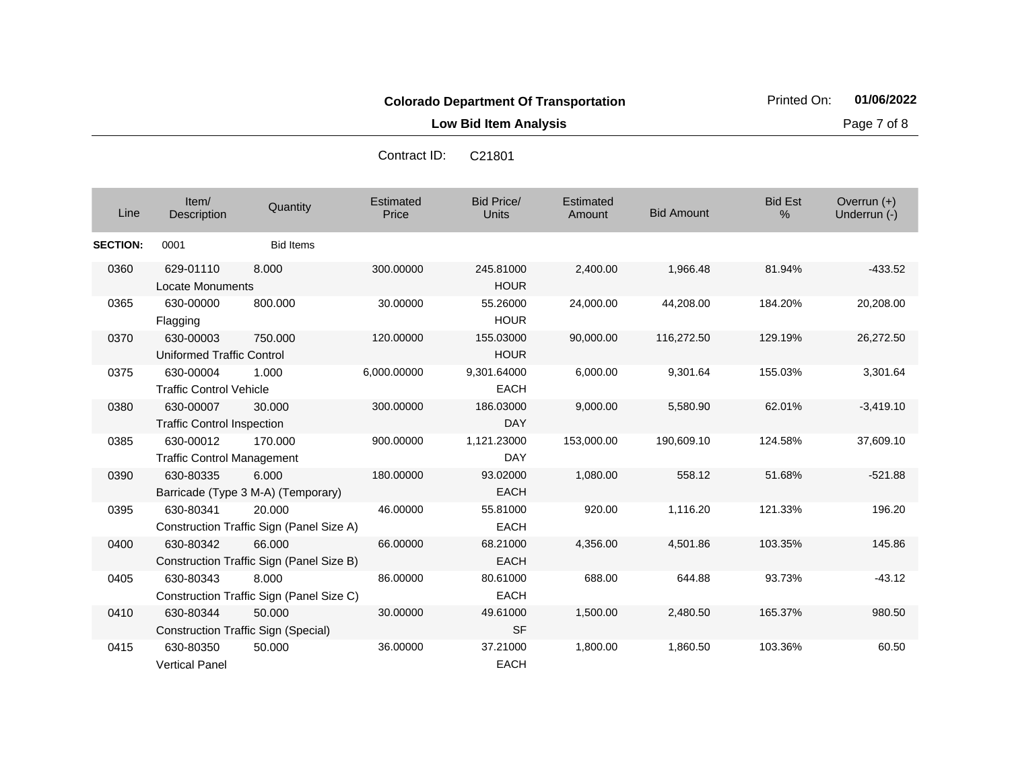**Low Bid Item Analysis Page 7 of 8** 

| Line            | Item/<br>Description                           | Quantity                                             | Estimated<br>Price | <b>Bid Price/</b><br>Units | Estimated<br>Amount | <b>Bid Amount</b> | <b>Bid Est</b><br>% | Overrun (+)<br>Underrun (-) |
|-----------------|------------------------------------------------|------------------------------------------------------|--------------------|----------------------------|---------------------|-------------------|---------------------|-----------------------------|
| <b>SECTION:</b> | 0001                                           | <b>Bid Items</b>                                     |                    |                            |                     |                   |                     |                             |
| 0360            | 629-01110<br>Locate Monuments                  | 8.000                                                | 300.00000          | 245.81000<br><b>HOUR</b>   | 2,400.00            | 1,966.48          | 81.94%              | $-433.52$                   |
| 0365            | 630-00000<br>Flagging                          | 800.000                                              | 30.00000           | 55.26000<br><b>HOUR</b>    | 24,000.00           | 44,208.00         | 184.20%             | 20,208.00                   |
| 0370            | 630-00003<br><b>Uniformed Traffic Control</b>  | 750.000                                              | 120.00000          | 155.03000<br><b>HOUR</b>   | 90,000.00           | 116,272.50        | 129.19%             | 26,272.50                   |
| 0375            | 630-00004<br><b>Traffic Control Vehicle</b>    | 1.000                                                | 6,000.00000        | 9,301.64000<br><b>EACH</b> | 6,000.00            | 9,301.64          | 155.03%             | 3,301.64                    |
| 0380            | 630-00007<br><b>Traffic Control Inspection</b> | 30.000                                               | 300.00000          | 186.03000<br><b>DAY</b>    | 9,000.00            | 5,580.90          | 62.01%              | $-3,419.10$                 |
| 0385            | 630-00012<br><b>Traffic Control Management</b> | 170.000                                              | 900.00000          | 1,121.23000<br><b>DAY</b>  | 153,000.00          | 190,609.10        | 124.58%             | 37,609.10                   |
| 0390            | 630-80335                                      | 6.000<br>Barricade (Type 3 M-A) (Temporary)          | 180.00000          | 93.02000<br><b>EACH</b>    | 1,080.00            | 558.12            | 51.68%              | $-521.88$                   |
| 0395            | 630-80341                                      | 20.000<br>Construction Traffic Sign (Panel Size A)   | 46.00000           | 55.81000<br><b>EACH</b>    | 920.00              | 1,116.20          | 121.33%             | 196.20                      |
| 0400            | 630-80342                                      | 66,000<br>Construction Traffic Sign (Panel Size B)   | 66.00000           | 68.21000<br><b>EACH</b>    | 4,356.00            | 4,501.86          | 103.35%             | 145.86                      |
| 0405            | 630-80343                                      | 8.000<br>Construction Traffic Sign (Panel Size C)    | 86.00000           | 80.61000<br><b>EACH</b>    | 688.00              | 644.88            | 93.73%              | $-43.12$                    |
| 0410            | 630-80344                                      | 50.000<br><b>Construction Traffic Sign (Special)</b> | 30.00000           | 49.61000<br><b>SF</b>      | 1,500.00            | 2,480.50          | 165.37%             | 980.50                      |
| 0415            | 630-80350<br><b>Vertical Panel</b>             | 50.000                                               | 36.00000           | 37.21000<br><b>EACH</b>    | 1,800.00            | 1,860.50          | 103.36%             | 60.50                       |